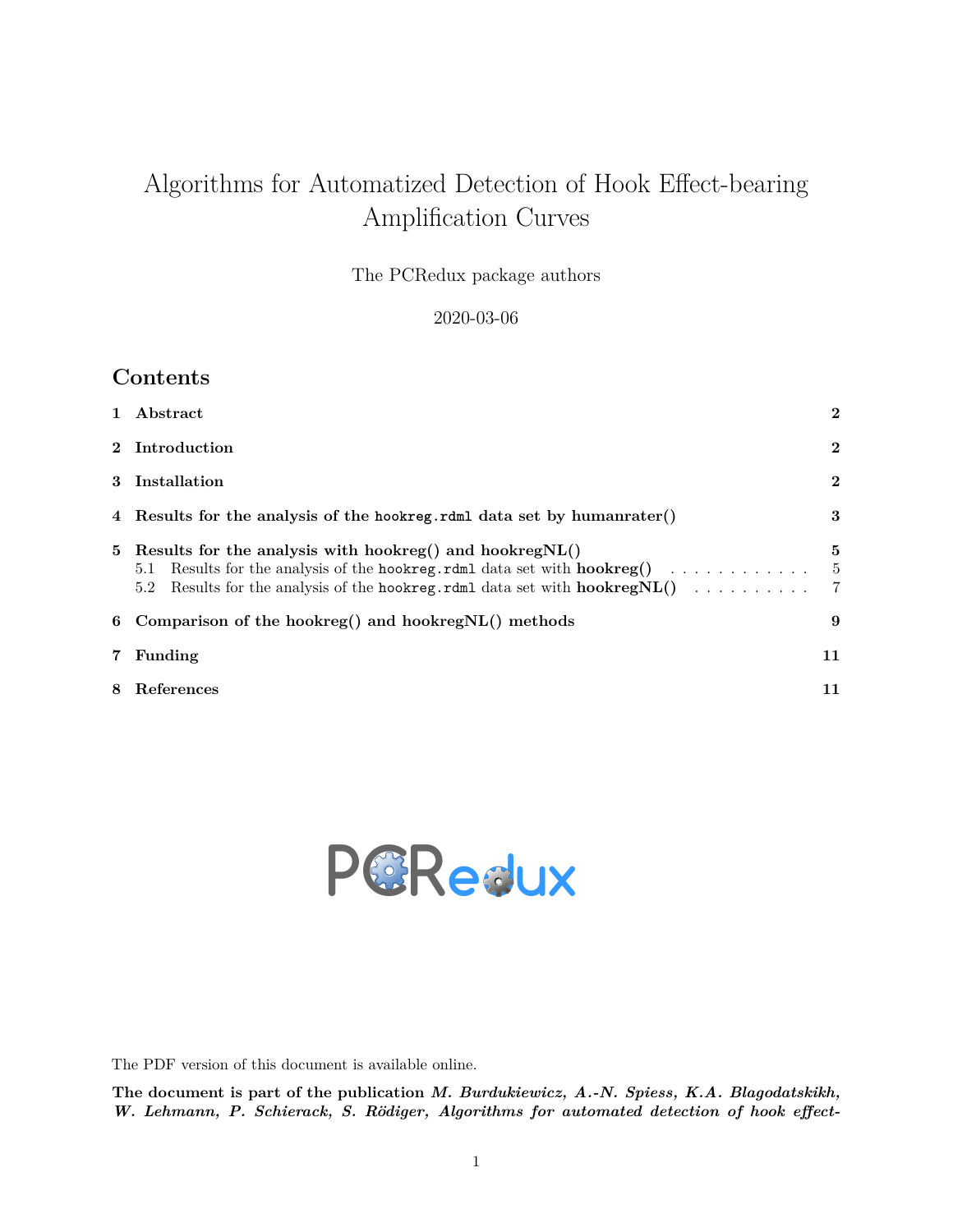# Algorithms for Automatized Detection of Hook Effect-bearing Amplification Curves

The PCRedux package authors

2020-03-06

### **Contents**

| $\mathbf{1}$ | Abstract                                                                                                                                           | $\mathbf{2}$        |
|--------------|----------------------------------------------------------------------------------------------------------------------------------------------------|---------------------|
|              | 2 Introduction                                                                                                                                     | $\bf{2}$            |
| 3            | Installation                                                                                                                                       | $\mathbf{2}$        |
|              | 4 Results for the analysis of the hookreg.rdml data set by humanrater()                                                                            | 3                   |
|              | 5 Results for the analysis with hookreg() and hookreg $NL()$<br>Results for the analysis of the hookreg.rdml data set with $hook( )$<br>5.1<br>5.2 | 5<br>$\overline{5}$ |
|              | 6 Comparison of the hookreg() and hookregNL() methods                                                                                              | 9                   |
| 7            | Funding                                                                                                                                            | 11                  |
| 8            | References                                                                                                                                         | 11                  |



The PDF version of this document is available [online.](https://github.com/devSJR/PCRedux/raw/master/docs/articles/SI1.pdf)

**The document is part of the publication** *M. Burdukiewicz, A.-N. Spiess, K.A. Blagodatskikh, W. Lehmann, P. Schierack, S. Rödiger, Algorithms for automated detection of hook effect-*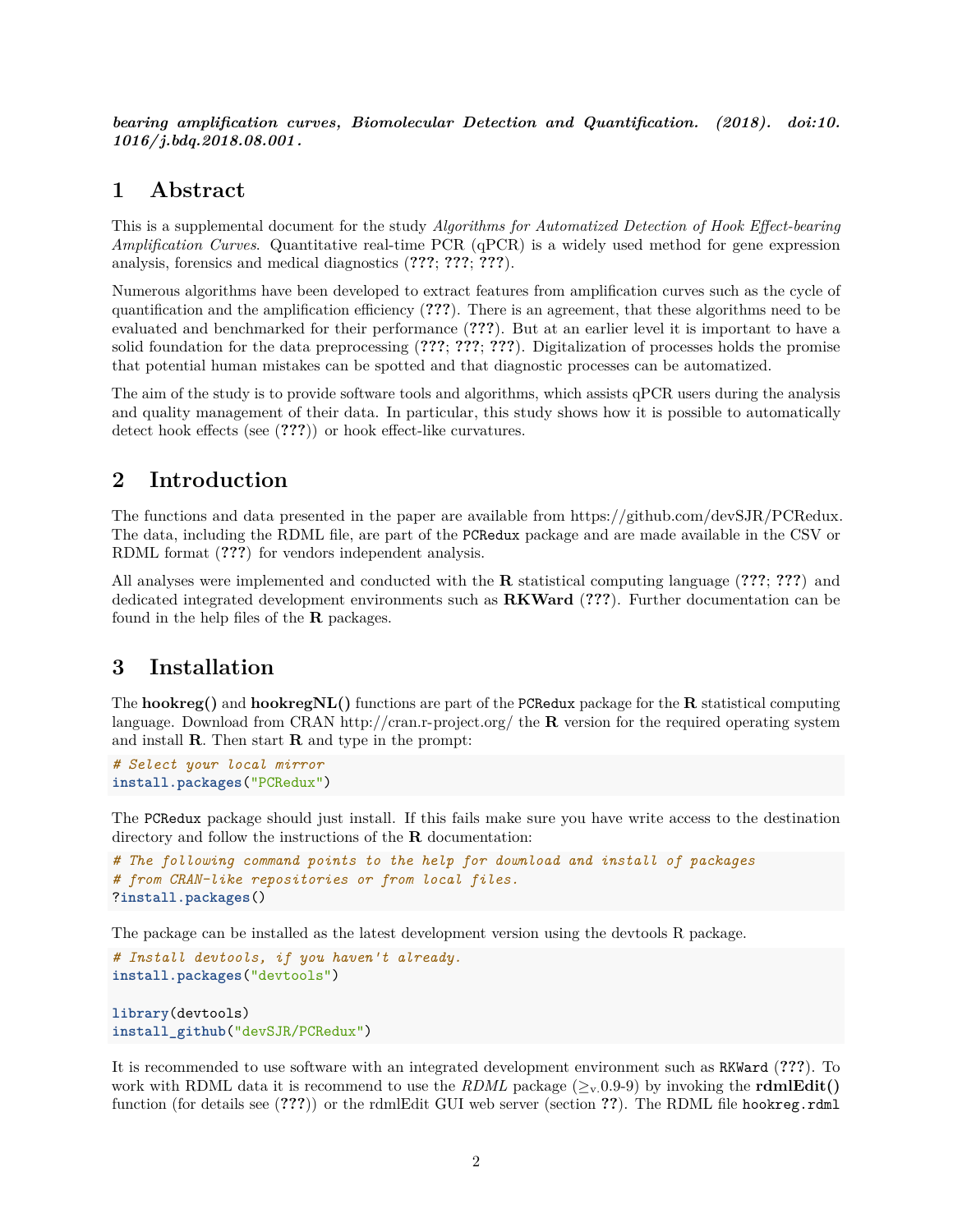*bearing amplification curves, Biomolecular Detection and Quantification. (2018). [doi:10.](doi:10.1016/j.bdq.2018.08.001) [1016/ j.bdq.2018.08.001 .](doi:10.1016/j.bdq.2018.08.001)*

#### <span id="page-1-0"></span>**1 Abstract**

This is a supplemental document for the study *Algorithms for Automatized Detection of Hook Effect-bearing Amplification Curves*. Quantitative real-time PCR (qPCR) is a widely used method for gene expression analysis, forensics and medical diagnostics (**???**; **???**; **???**).

Numerous algorithms have been developed to extract features from amplification curves such as the cycle of quantification and the amplification efficiency (**???**). There is an agreement, that these algorithms need to be evaluated and benchmarked for their performance (**???**). But at an earlier level it is important to have a solid foundation for the data preprocessing (**???**; **???**; **???**). Digitalization of processes holds the promise that potential human mistakes can be spotted and that diagnostic processes can be automatized.

The aim of the study is to provide software tools and algorithms, which assists qPCR users during the analysis and quality management of their data. In particular, this study shows how it is possible to automatically detect hook effects (see (**???**)) or hook effect-like curvatures.

#### <span id="page-1-1"></span>**2 Introduction**

The functions and data presented in the paper are available from [https://github.com/devSJR/PCRedux.](https://github.com/devSJR/PCRedux) The data, including the RDML file, are part of the PCRedux package and are made available in the CSV or RDML format (**???**) for vendors independent analysis.

All analyses were implemented and conducted with the **R** statistical computing language (**???**; **???**) and dedicated integrated development environments such as **RKWard** (**???**). Further documentation can be found in the help files of the **R** packages.

#### <span id="page-1-2"></span>**3 Installation**

The **hookreg()** and **hookregNL()** functions are part of the PCRedux package for the **R** statistical computing language. Download from CRAN<http://cran.r-project.org/> the **R** version for the required operating system and install **R**. Then start **R** and type in the prompt:

```
# Select your local mirror
install.packages("PCRedux")
```
The PCRedux package should just install. If this fails make sure you have write access to the destination directory and follow the instructions of the **R** documentation:

```
# The following command points to the help for download and install of packages
# from CRAN-like repositories or from local files.
?install.packages()
```
The package can be installed as the latest development version using the [devtools](https://cran.r-project.org/package=devtools) R package.

```
# Install devtools, if you haven't already.
install.packages("devtools")
```

```
library(devtools)
install_github("devSJR/PCRedux")
```
It is recommended to use software with an integrated development environment such as RKWard (**???**). To work with RDML data it is recommend to use the *RDML* package  $(\geq_v 0.9-9)$  by invoking the **rdmlEdit**() function (for details see (**???**)) or the rdmlEdit GUI web server (section **??**). The RDML file hookreg.rdml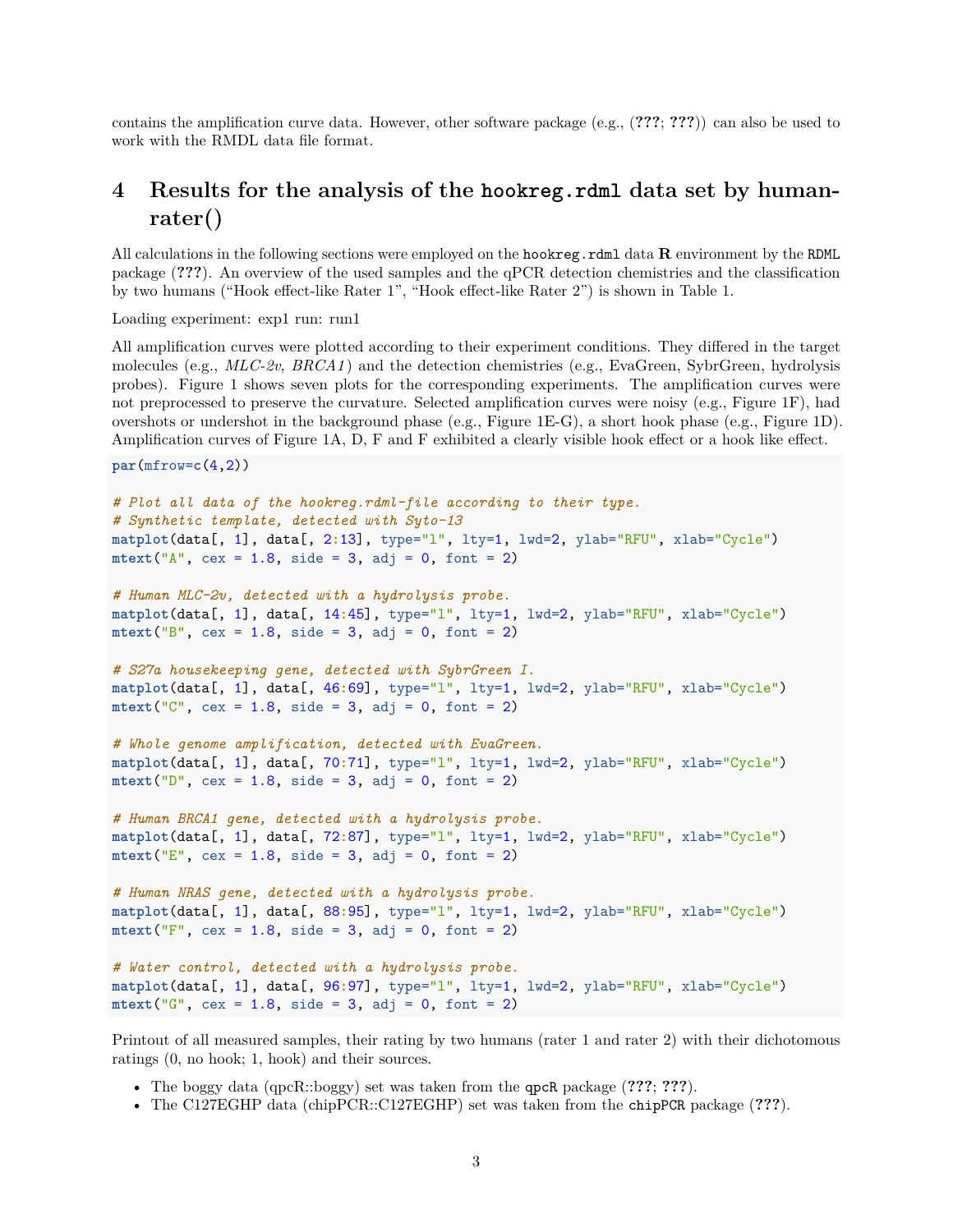contains the amplification curve data. However, other software package (e.g., (**???**; **???**)) can also be used to work with the RMDL data file format.

# <span id="page-2-0"></span>**4 Results for the analysis of the hookreg.rdml data set by humanrater()**

All calculations in the following sections were employed on the hookreg.rdml data **R** environment by the RDML package (**???**). An overview of the used samples and the qPCR detection chemistries and the classification by two humans ("Hook effect-like Rater 1", "Hook effect-like Rater 2") is shown in Table [1.](#page-4-2)

Loading experiment: exp1 run: run1

All amplification curves were plotted according to their experiment conditions. They differed in the target molecules (e.g., *MLC-2v*, *BRCA1* ) and the detection chemistries (e.g., EvaGreen, SybrGreen, hydrolysis probes). Figure [1](#page-3-0) shows seven plots for the corresponding experiments. The amplification curves were not preprocessed to preserve the curvature. Selected amplification curves were noisy (e.g., Figure [1F](#page-3-0)), had overshots or undershot in the background phase (e.g., Figure [1E](#page-3-0)-G), a short hook phase (e.g., Figure [1D](#page-3-0)). Amplification curves of Figure [1A](#page-3-0), D, F and F exhibited a clearly visible hook effect or a hook like effect.

```
par(mfrow=c(4,2))
```

```
# Plot all data of the hookreg.rdml-file according to their type.
# Synthetic template, detected with Syto-13
matplot(data[, 1], data[, 2:13], type="l", lty=1, lwd=2, ylab="RFU", xlab="Cycle")
\text{mtext}("A", \text{cex} = 1.8, \text{side} = 3, \text{adj} = 0, \text{font} = 2)# Human MLC-2v, detected with a hydrolysis probe.
matplot(data[, 1], data[, 14:45], type="l", lty=1, lwd=2, ylab="RFU", xlab="Cycle")
\text{mtext}("B", \text{cex} = 1.8, \text{side} = 3, \text{adj} = 0, \text{font} = 2)# S27a housekeeping gene, detected with SybrGreen I.
matplot(data[, 1], data[, 46:69], type="l", lty=1, lwd=2, ylab="RFU", xlab="Cycle")
\text{mtext}("C", \text{cex} = 1.8, \text{side} = 3, \text{adj} = 0, \text{font} = 2)# Whole genome amplification, detected with EvaGreen.
matplot(data[, 1], data[, 70:71], type="l", lty=1, lwd=2, ylab="RFU", xlab="Cycle")
\text{mtext}("D", \text{cex} = 1.8, \text{side} = 3, \text{adj} = 0, \text{font} = 2)# Human BRCA1 gene, detected with a hydrolysis probe.
matplot(data[, 1], data[, 72:87], type="l", lty=1, lwd=2, ylab="RFU", xlab="Cycle")
\text{mtext}("E", \text{cex} = 1.8, \text{side} = 3, \text{adj} = 0, \text{font} = 2)# Human NRAS gene, detected with a hydrolysis probe.
matplot(data[, 1], data[, 88:95], type="l", lty=1, lwd=2, ylab="RFU", xlab="Cycle")
\text{mtext}("F", \text{cex} = 1.8, \text{side} = 3, \text{adj} = 0, \text{font} = 2)# Water control, detected with a hydrolysis probe.
matplot(data[, 1], data[, 96:97], type="l", lty=1, lwd=2, ylab="RFU", xlab="Cycle")
\text{mtext}("G", \text{cex} = 1.8, \text{side} = 3, \text{adj} = 0, \text{font} = 2)
```
Printout of all measured samples, their rating by two humans (rater 1 and rater 2) with their dichotomous ratings (0, no hook; 1, hook) and their sources.

- The boggy data (qpcR::boggy) set was taken from the qpcR package (**???**; **???**).
- The C127EGHP data (chipPCR::C127EGHP) set was taken from the chipPCR package (**???**).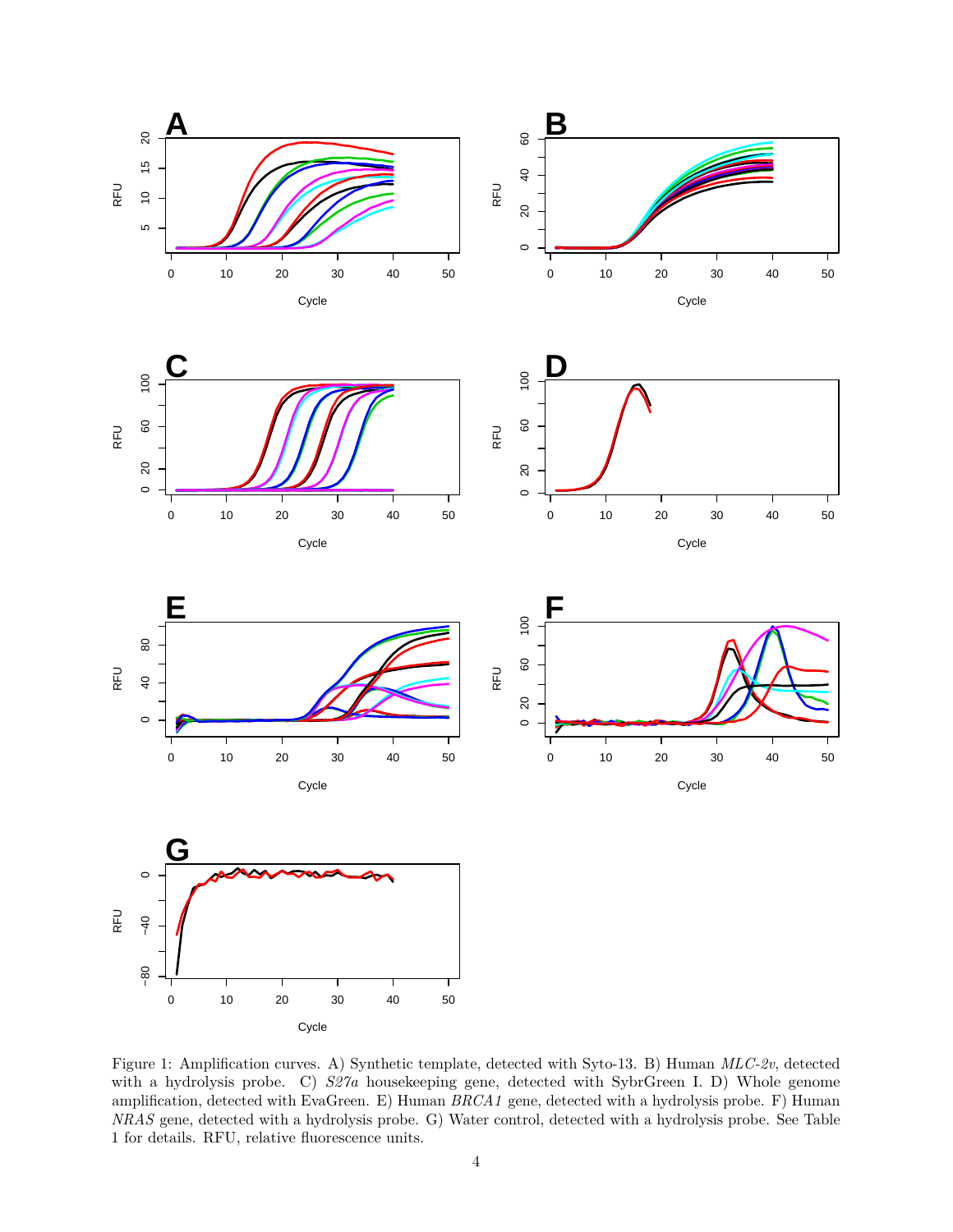













<span id="page-3-0"></span>Figure 1: Amplification curves. A) Synthetic template, detected with Syto-13. B) Human *MLC-2v*, detected with a hydrolysis probe. C)  $S27a$  housekeeping gene, detected with SybrGreen I. D) Whole genome amplification, detected with EvaGreen. E) Human *BRCA1* gene, detected with a hydrolysis probe. F) Human *NRAS* gene, detected with a hydrolysis probe. G) Water control, detected with a hydrolysis probe. See Table [1](#page-4-2) for details. RFU, relative fluorescence units.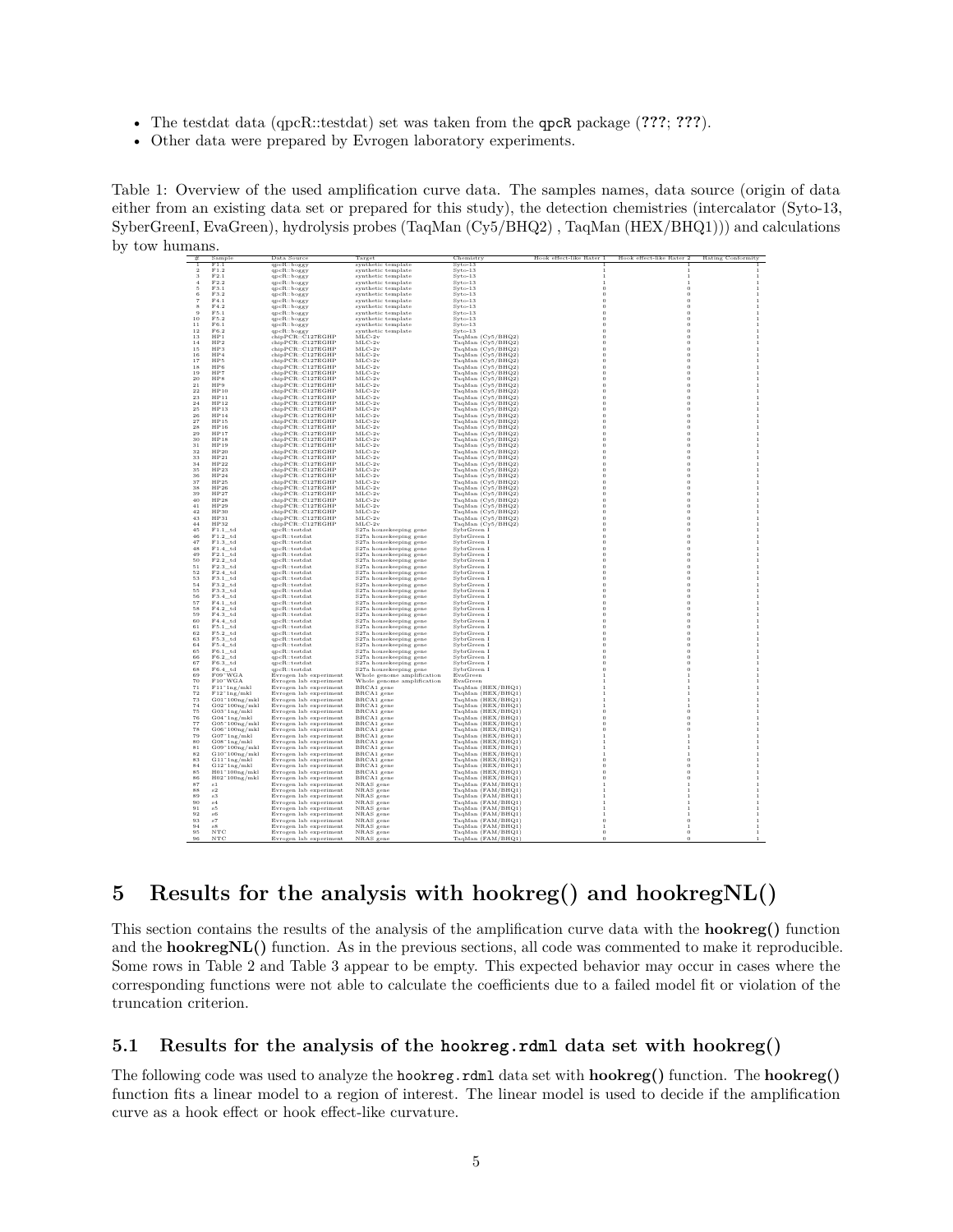- The testdat data (qpcR::testdat) set was taken from the qpcR package (**???**; **???**).
- <span id="page-4-2"></span>• Other data were prepared by Evrogen laboratory experiments.

Table 1: Overview of the used amplification curve data. The samples names, data source (origin of data either from an existing data set or prepared for this study), the detection chemistries (intercalator (Syto-13, SyberGreenI, EvaGreen), hydrolysis probes (TaqMan (Cy5/BHQ2) , TaqMan (HEX/BHQ1))) and calculations by tow humans

|                | Sample                                                                                        | Data Source                            | Target                     | Chemistry                                                                           | Hook effect-like Rater 1 | Hook effect-like Rater 2 | Rating Conformity       |
|----------------|-----------------------------------------------------------------------------------------------|----------------------------------------|----------------------------|-------------------------------------------------------------------------------------|--------------------------|--------------------------|-------------------------|
|                | F1.1                                                                                          | qpcR::boggy                            | synthetic template         | $Svto-13$                                                                           |                          |                          |                         |
| $\mathfrak{D}$ | $\rm{F1.2}$                                                                                   | qpcR::boggy                            | synthetic template         | $Syto-13$                                                                           |                          |                          |                         |
| 3              | F2.1                                                                                          | qpcR::boggy                            | synthetic template         | $Svto-13$                                                                           | -1                       | 1                        |                         |
| $\overline{4}$ | F2.2                                                                                          | qpcR::boggy                            | synthetic template         | $Svto-13$                                                                           | $\mathbf{1}$             | 1                        | $\mathbf{1}$            |
| 5              | F3.1                                                                                          | qpcR::boggy                            | synthetic template         | $Svto-13$                                                                           | $\theta$                 | $\theta$                 |                         |
| 6              | F3.2                                                                                          | qpcR::boggy                            | synthetic template         | $Svto-13$                                                                           | $\theta$                 | $\,$ 0                   | $\overline{1}$          |
| $\overline{7}$ | FA1                                                                                           | qpcR::boggy                            | synthetic template         | $Svto-13$                                                                           | $\Omega$                 | $\Omega$                 | $\overline{1}$          |
| $\mathbf{R}$   | FA2                                                                                           | qpcR::boggy                            | synthetic template         | $Svto-13$                                                                           | $\Omega$                 | $\Omega$                 | $\overline{1}$          |
| 9              | F5.1                                                                                          | qpcR::boggy                            | synthetic template         | $Syto-13$                                                                           | $\theta$                 | $\theta$                 | 1                       |
| 10             | F5.2                                                                                          | qpcR::boggy                            | synthetic template         | $Syto-13$                                                                           | $\Omega$                 | $\bf{0}$                 | $\overline{1}$          |
| 11             | F6 1                                                                                          | qpcR::boggy                            | synthetic template         | $Syto-13$                                                                           | $\Omega$                 | $\theta$                 | $\mathbf{1}$            |
| 12             | F6 2                                                                                          |                                        | synthetic template         | Syto-13                                                                             | $\Omega$                 | $\theta$                 | $\overline{1}$          |
| 13             | HP1                                                                                           | qpcR::boggy                            |                            |                                                                                     | $\Omega$                 |                          | $\mathbf{1}$            |
| 14             | HP <sub>2</sub>                                                                               | chipPCR::C127EGHP<br>chipPCR::C127EGHP | $MLC-2v$<br>$MLC-2v$       | TaqMan (Cy5/BHQ2)                                                                   |                          | $\,$ 0<br>$\theta$       | $\overline{1}$          |
| 15             | HP <sub>3</sub>                                                                               |                                        |                            | TaqMan (Cy5/BHQ2)                                                                   | $\theta$<br>$\theta$     |                          | $\mathbf{1}$            |
|                |                                                                                               | chipPCR::C127EGHP                      | $MLC-2v$                   | TaqMan (Cy5/BHQ2)                                                                   |                          | $\bf{0}$                 |                         |
| $16\,$         | HP4                                                                                           | chipPCR::C127EGHP                      | $MLC-2v$                   | TaqMan (Cy5/BHQ2)                                                                   | $\theta$                 | $\,$ 0                   | $\mathbf{1}$            |
| 17             | HP5                                                                                           | chipPCR::C127EGHP                      | $MLC-2v$                   | TaqMan (Cy5/BHQ2)                                                                   | $\theta$                 | $\,$ 0                   | $\mathbf{1}$            |
| 18             | HP6                                                                                           | chipPCR::C127EGHP                      | $MLC-2v$                   | TaqMan (Cy5/BHQ2)                                                                   | $\theta$                 | $\ddot{\mathbf{0}}$      |                         |
| 19             | HP7                                                                                           | chipPCR::C127EGHP                      | $MLC-2v$                   | TaqMan (Cy5/BHQ2)                                                                   |                          | $\bf{0}$                 |                         |
| 20             | HP <sub>8</sub>                                                                               | chipPCR::C127EGHP                      | $MLC-2v$                   | TaqMan (Cy5/BHQ2)                                                                   | $\theta$                 | $\,$ 0                   | $\,$ 1                  |
| $^{21}$        | HP9                                                                                           | chipPCR::C127EGHP                      | $MLC-2v$                   | TaqMan (Cy5/BHQ2)                                                                   | $\theta$                 | $\,$ 0                   | $\overline{1}$          |
| 22             | HP10                                                                                          | chipPCR::C127EGHP                      | $MLC-2v$                   | TaqMan (Cy5/BHQ2)                                                                   | $\theta$                 | $\,$ 0                   |                         |
| 23             | HP11                                                                                          | chipPCR::C127EGHP                      | $MLC-2v$                   | TaqMan (Cy5/BHQ2)                                                                   | $\theta$                 | $\ddot{\mathbf{0}}$      | $\overline{1}$          |
| 24             | HP12                                                                                          | chipPCR::C127EGHP                      | $MLC-2v$                   | TaqMan (Cy5/BHQ2)                                                                   | $\theta$                 | $\,$ 0                   | $\mathbf{1}$            |
| 25             | HP13                                                                                          | chipPCR::C127EGHP                      | $MLC-2v$                   | TaqMan (Cy5/BHQ2)                                                                   | $\theta$                 | $\,$ 0                   | $\overline{1}$          |
| 26             | HP14                                                                                          | chipPCR::C127EGHP                      | $MLC-2v$                   | TaqMan (Cy5/BHQ2)                                                                   | $\theta$                 | $\,$ 0                   | $\mathbf{1}$            |
| 27             | HP15                                                                                          | chipPCR::CI27EGHP                      | $MLC-2v$                   | TaqMan (Cy5/BHQ2)                                                                   | $\theta$                 | $\theta$                 | $\mathbf{1}$            |
| 28             | HP16                                                                                          | chipPCR::CI27EGHP                      | $MLC-2v$                   | TaqMan (Cy5/BHQ2)                                                                   | $\Omega$                 | $\theta$                 | $\mathbf{1}$            |
| 29             | HP17                                                                                          | chipPCR::CI27EGHP                      | MT.C.2v                    | TaqMan (Cy5/BHQ2)                                                                   | $\Omega$                 | $\Omega$                 | $\overline{1}$          |
| 30             | HP18                                                                                          | chipPCR::C127EGHP                      | MT.C.2v                    | TaqMan (Cy5/BHQ2)                                                                   | $\Omega$                 | $\Omega$                 | $\mathbf{1}$            |
| 31             | HP19                                                                                          | chipPCR::C127EGHP                      | $MLC-2v$                   | TaqMan (Cy5/BHQ2)                                                                   | $\theta$                 | $\theta$                 | $\mathbf{1}$            |
| 32             | HP20                                                                                          | chipPCR::C127EGHP                      | $MLC-2v$                   |                                                                                     | $\Omega$                 | $\theta$                 | $\mathbf{1}$            |
| 33             | HP21                                                                                          | chipPCR::C127EGHP                      | $MLC-2v$                   | $\begin{array}{c} \text{TaqMan (Cy5/BHQ2)} \\ \text{TaqMan (Cy5/BHQ2)} \end{array}$ | $\Omega$                 | $\theta$                 | $\overline{1}$          |
| 34             | HP22                                                                                          | chipPCR::C127EGHP                      | $MLC-2v$                   | TaqMan (Cy5/BHQ2)                                                                   | $\Omega$                 | $\theta$                 | $\overline{1}$          |
| 35             | HP23                                                                                          | chipPCR::C127EGHP                      | $MLC-2v$                   |                                                                                     | $\Omega$                 | $\,$ 0                   | $\mathbf{1}$            |
| $_{\rm 36}$    | HP24                                                                                          | chipPCR::C127EGHP                      | $MLC-2v$                   | TaqMan (Cy5/BHQ2)                                                                   | $\theta$                 | $\theta$                 | $\mathbf{1}$            |
| 37             | HP25                                                                                          | chipPCR::C127EGHP                      | $MLC-2v$                   | TaqMan (Cy5/BHQ2)<br>TaqMan (Cy5/BHQ2)                                              | $\theta$                 | $\bf{0}$                 | $\mathbf{1}$            |
|                |                                                                                               |                                        |                            |                                                                                     | $\theta$                 | $\bf{0}$                 |                         |
| $_{\rm 38}$    | HP26                                                                                          | chipPCR::C127EGHP                      | $MLC-2v$                   | TaqMan (Cy5/BHQ2)                                                                   | $\theta$                 |                          | $\,1\,$<br>$\mathbf{1}$ |
| 39             | HP27                                                                                          | chipPCR::C127EGHP                      | $MLC-2v$                   | TaqMan (Cy5/BHQ2)                                                                   |                          | $\,$ 0                   |                         |
| 40             | HP28                                                                                          | chipPCR::C127EGHP                      | $MLC-2v$                   | TaqMan (Cy5/BHQ2)                                                                   | $\overline{0}$           | $\ddot{\mathbf{0}}$      |                         |
| 41             | HP29                                                                                          | chipPCR::C127EGHP                      | $MLC-2v$                   | TaqMan (Cy5/BHQ2)                                                                   | $\theta$                 | $\,$ 0                   |                         |
| 42             | HP30                                                                                          | chipPCR::C127EGHP                      | $MLC-2v$                   | TaqMan (Cy5/BHQ2)                                                                   | $\theta$                 | $\bf{0}$                 | $\,1\,$                 |
| 43             | HP31                                                                                          | chipPCR::C127EGHP                      | $MLC-2v$                   | TaqMan (Cy5/BHQ2)                                                                   | $\theta$                 | $\,$ 0                   | $\overline{1}$          |
| 44             | HP32                                                                                          | chipPCR::C127EGHP                      | $MLC-2v$                   | TaqMan (Cy5/BHQ2)                                                                   | $\theta$                 | $\ddot{\mathbf{0}}$      | $\overline{1}$          |
| 45             | $F1.1\_td$                                                                                    | qpcR::testdat                          | S27a housekeeping gene     | SybrGreen I                                                                         | $\theta$                 | $\bf{0}$                 | $\mathbf{1}$            |
| 46             | $F1.2$ td                                                                                     | qpcR::testdat                          | S27a housekeeping gene     | SybrGreen I                                                                         | $\Omega$                 | $\theta$                 | $\,1\,$                 |
| 47             | $F1.3$ td                                                                                     | qpcR::testdat                          | S27a housekeeping gene     | SybrGreen I                                                                         | $\theta$                 | $\,$ 0                   | $\mathbf{1}$            |
| 48             | $F1.4$ _td                                                                                    | qpcR::testdat                          | S27a housekeeping gene     | SybrGreen I                                                                         | $\theta$                 | $\,$ 0                   | $\overline{1}$          |
| 49             | $F2.1$ td                                                                                     | qpcR::testdat                          | S27a housekeeping gene     | SvbrGreen I                                                                         | $\theta$                 | $\theta$                 | $\mathbf{1}$            |
| 50             | $F2.2$ td                                                                                     | qpcR::testdat                          | S27a housekeeping gene     | SybrGreen I                                                                         | $\theta$                 | $\theta$                 | $\overline{1}$          |
| 51             | $F2.3$ td                                                                                     | qpcR::testdat                          | S27a housekeeping gene     | SybrGreen I                                                                         | $\Omega$                 | $\theta$                 | $\mathbf{1}$            |
| 52             | $F2.4$ td                                                                                     | qpcR::testdat                          | S27a housekeeping gene     | SvbrGreen I                                                                         | $\Omega$                 | $\Omega$                 | $\overline{1}$          |
| 53             | $F3.1$ td                                                                                     | qpcR::testdat                          | S27a housekeeping gene     | SybrGreen I                                                                         | $\theta$                 | $\theta$                 | 1                       |
| 54             | F3.2 td                                                                                       | qpcR::testdat                          | S27a housekeeping gene     | SybrGreen I                                                                         | $\Omega$                 | $\theta$                 | $\overline{1}$          |
| 55             | F3.3 td                                                                                       | qpeR::testdat                          | S27a housekeeping gene     | SybrGreen I                                                                         | $\Omega$                 | $\theta$                 | $\overline{1}$          |
| 56             | F3.4 td                                                                                       | qpcR::testdat                          | S27a housekeeping gene     | SybrGreen I                                                                         | $\Omega$                 | $\theta$                 | $\mathbf{1}$            |
| 57             | $F4.1\_td$                                                                                    | qpcR::testdat                          | S27a housekeeping gene     | SybrGreen I                                                                         | $\Omega$                 | $\,$ 0                   | $\mathbf{1}$            |
| 58             | $\mathrm{F4.2\_td}$                                                                           | qpcR::testdat                          | S27a housekeeping gene     | SybrGreen I                                                                         | $\theta$                 | $\theta$                 | $\mathbf{1}$            |
| 59             | $F4.3$ td                                                                                     | qpcR::testdat                          | S27a housekeeping gene     | SybrGreen I                                                                         | $\Omega$                 | $\theta$                 | $\mathbf{1}$            |
| 60             | $F4.4\_td$                                                                                    | qpcR::testdat                          | S27a housekeeping gene     | SybrGreen I                                                                         | $\theta$                 | $\,$ 0                   | $\mathbf{1}$            |
| $_{\rm 61}$    | $F5.1$ _td                                                                                    | qpcR::testdat                          | S27a housekeeping gene     | SybrGreen I                                                                         | $\theta$                 | $\,$ 0                   | $\,1\,$                 |
| 62             | $F5.2\_td$                                                                                    | qpcR::testdat                          | S27a housekeeping gene     | SybrGreen I                                                                         | $\theta$                 | $\theta$                 | $\mathbf{1}$            |
| 63             | F5.3 td                                                                                       | qpcR::testdat                          |                            | SybrGreen I                                                                         |                          | $\bf{0}$                 |                         |
| 64             | F5.4 td                                                                                       | qpcR::testdat                          | S27a housekeeping gene     | SybrGreen I                                                                         | $\circ$                  | $\,$ 0                   |                         |
|                |                                                                                               |                                        | S27a housekeeping gene     |                                                                                     |                          |                          |                         |
| 65             | $F6.1\_td$                                                                                    | qpcR::testdat                          | S27a housekeeping gene     | SybrGreen I                                                                         | $\theta$                 | $\,$ 0                   | $\overline{1}$          |
| 66             | $F6.2$ _td                                                                                    | qpcR::testdat                          | S27a housekeeping gene     | SybrGreen I                                                                         | $\theta$                 | $\bf{0}$                 |                         |
| 67             | F6.3 td                                                                                       | qpcR::testdat                          | S27a housekeeping gene     | SybrGreen I                                                                         |                          | $\bf{0}$                 |                         |
| 68             | $\begin{array}{c} \text{F6.4\_td} \\ \text{F09}^{\scriptscriptstyle +}\text{WGA} \end{array}$ | qpcR::testdat                          | S27a housekeeping gene     | SybrGreen I                                                                         | $\Omega$                 | $\theta$                 | $\mathbf{1}$            |
| 69             |                                                                                               | Evrogen lab experiment                 | Whole genome amplification | EvaGreen                                                                            |                          | 1                        | $\mathbf{1}$            |
| 70             | $F10^\circ\text{WGA}$                                                                         | Evrogen lab experiment                 | Whole genome amplification | EvaGreen                                                                            |                          | $\mathbf{1}$             | $\mathbf{1}$            |
| $7\,\rm{1}$    | $F11^{\circ}1ng/mkl$                                                                          | Evrogen lab experiment                 | BRCA1 gene                 | TaqMan (HEX/BHQ1)                                                                   |                          | $\mathbf{1}$             | $\mathbf{1}$            |
| 72             | $F12^{\degree}1ng/mkl$                                                                        | Evrogen lab experiment                 | BRCA1 gene                 | TaqMan (HEX/BHQ1)                                                                   |                          | 1                        | 1                       |
| 73             | $G01^{\circ}100ng/mkl$                                                                        | Evrogen lab experiment                 | BRCA1 gene                 | TagMan (HEX/BHO1)                                                                   |                          | $\mathbf{1}$             | $\mathbf{1}$            |
| 74             | $\mathrm{G02}^\circ100\mathrm{ng/mkl}$                                                        | Evrogen lab experiment                 | BRCA1 gene                 | TaqMan (HEX/BHQ1)<br>TaqMan (HEX/BHQ1)                                              |                          | 1                        | 1                       |
| 75             | $\rm G03$ $^{\circ}1 \rm ng/mkl$                                                              | Evrogen lab experiment                 | BRCA1 gene                 |                                                                                     | $\theta$                 | $\theta$                 | $\mathbf{1}$            |
| 76             | $G04^{\circ}$ lng/mkl                                                                         | Evrogen lab experiment                 | BRCA1 gene                 | TaqMan (HEX/BHQ1)                                                                   | $\Omega$                 | $\theta$                 | $\overline{1}$          |
| 77             | G05°100ng/mkl                                                                                 | Evrogen lab experiment                 | BRCA1 gene                 | TaqMan (HEX/BHQ1)                                                                   | $\Omega$                 | $\Omega$                 | $\mathbf{1}$            |
| 78             | G06°100ng/mkl                                                                                 | Evrogen lab experiment                 | BRCA1 gene                 | TaqMan (HEX/BHQ1)                                                                   | $\Omega$                 | $\theta$                 | $\mathbf{1}$            |
| 79             | $G07^{\circ}$ lng/mkl                                                                         | Evrogen lab experiment                 | BRCA1 gene                 | TaqMan (HEX/BHQ1)                                                                   |                          | $\mathbf{1}$             | $\mathbf{1}$            |
| 80             | G08°1ng/mkl                                                                                   | Evrogen lab experiment                 | BRCA1 gene                 | TaqMan (HEX/BHQ1)                                                                   |                          | $\mathbf{1}$             | $\mathbf{1}$            |
| 81             | G09°100ng/mkl                                                                                 | Evrogen lab experiment                 | BRCA1 gene                 | TaqMan (HEX/BHQ1)                                                                   |                          | $\mathbf{1}$             | $\mathbf{1}$            |
| $^{\rm 82}$    | G10°100ng/mkl                                                                                 | Evrogen lab experiment                 | BRCA1 gene                 | TaqMan (HEX/BHQ1)                                                                   |                          | $\,1$                    |                         |
| 83             | $G11$ " $1ng/mkl$                                                                             | Evrogen lab experiment                 | BRCA1 gene                 | TaqMan (HEX/BHQ1)                                                                   | $\Omega$                 | $\,$ 0                   | $\mathbf{1}$            |
| 84             | $G12^{\degree}1ng/mkl$                                                                        | Evrogen lab experiment                 | BRCA1 gene                 | TaqMan (HEX/BHQ1)                                                                   | $\Omega$                 | $\theta$                 | $\mathbf{1}$            |
| 85             |                                                                                               |                                        |                            |                                                                                     |                          | $\theta$                 |                         |
|                | $H01^{\circ}100$ ng/mkl                                                                       | Evrogen lab experiment                 | BRCA1 gene                 | TaqMan (HEX/BHQ1)                                                                   |                          |                          |                         |
| 86             | $H02^{\degree}100ng/mkl$                                                                      | Evrogen lab experiment                 | BRCA1 gene                 | TaqMan (HEX/BHQ1)                                                                   |                          | $\bf{0}$                 |                         |
| 87             | s1                                                                                            | Evrogen lab experiment                 | NRAS gene                  | TaqMan (FAM/BHQ1)                                                                   |                          | $\mathbf{1}$             | $\mathbf{1}$            |
| 88             | s2                                                                                            | Evrogen lab experiment                 | NRAS gene                  | TaqMan (FAM/BHQ1)                                                                   |                          |                          |                         |
| 89             | $_{\rm s3}$                                                                                   | Evrogen lab experiment                 | NRAS gene                  | TaqMan (FAM/BHQ1)                                                                   |                          |                          |                         |
| 90             | 54                                                                                            | Evrogen lab experiment                 | NRAS gene                  | TaqMan (FAM/BHQ1)                                                                   |                          | $\mathbf{1}$             | $\mathbf{1}$            |
| 91             | 55                                                                                            | Evrogen lab experiment                 | NRAS gene                  | TaqMan (FAM/BHQ1)                                                                   |                          | 1                        |                         |
| 92             | $\pm 6$                                                                                       | Evrogen lab experiment                 | NRAS gene                  | TaqMan (FAM/BHQ1)                                                                   |                          | $\mathbf{1}$             | $\overline{1}$          |
| 93             | s7                                                                                            | Evrogen lab experiment                 | NRAS gene                  | TagMan (FAM/BHO1)                                                                   |                          | $\bf{0}$                 | 1                       |
| 94             | 58                                                                                            | Evrogen lab experiment                 | NRAS gene                  | TagMan (FAM/BHO1)                                                                   |                          | $\mathbf{1}$             | $\mathbf{1}$            |
| 95             | $_{\mathrm{NTC}}$                                                                             | Evrogen lab experiment                 | NRAS gene                  | TaqMan (FAM/BHQ1)                                                                   | $\Omega$                 | $\bf{0}$                 | 1                       |
| 96             | NTC                                                                                           | Evrogen lab experiment                 | NRAS gene                  | TaqMan (FAM/BHQ1)                                                                   | $\Omega$                 | $\Omega$                 | 1                       |

## <span id="page-4-0"></span>**5 Results for the analysis with hookreg() and hookregNL()**

This section contains the results of the analysis of the amplification curve data with the **hookreg()** function and the **hookregNL()** function. As in the previous sections, all code was commented to make it reproducible. Some rows in Table [2](#page-6-1) and Table [3](#page-8-1) appear to be empty. This expected behavior may occur in cases where the corresponding functions were not able to calculate the coefficients due to a failed model fit or violation of the truncation criterion.

#### <span id="page-4-1"></span>**5.1 Results for the analysis of the hookreg.rdml data set with hookreg()**

The following code was used to analyze the hookreg.rdml data set with **hookreg()** function. The **hookreg()** function fits a linear model to a region of interest. The linear model is used to decide if the amplification curve as a hook effect or hook effect-like curvature.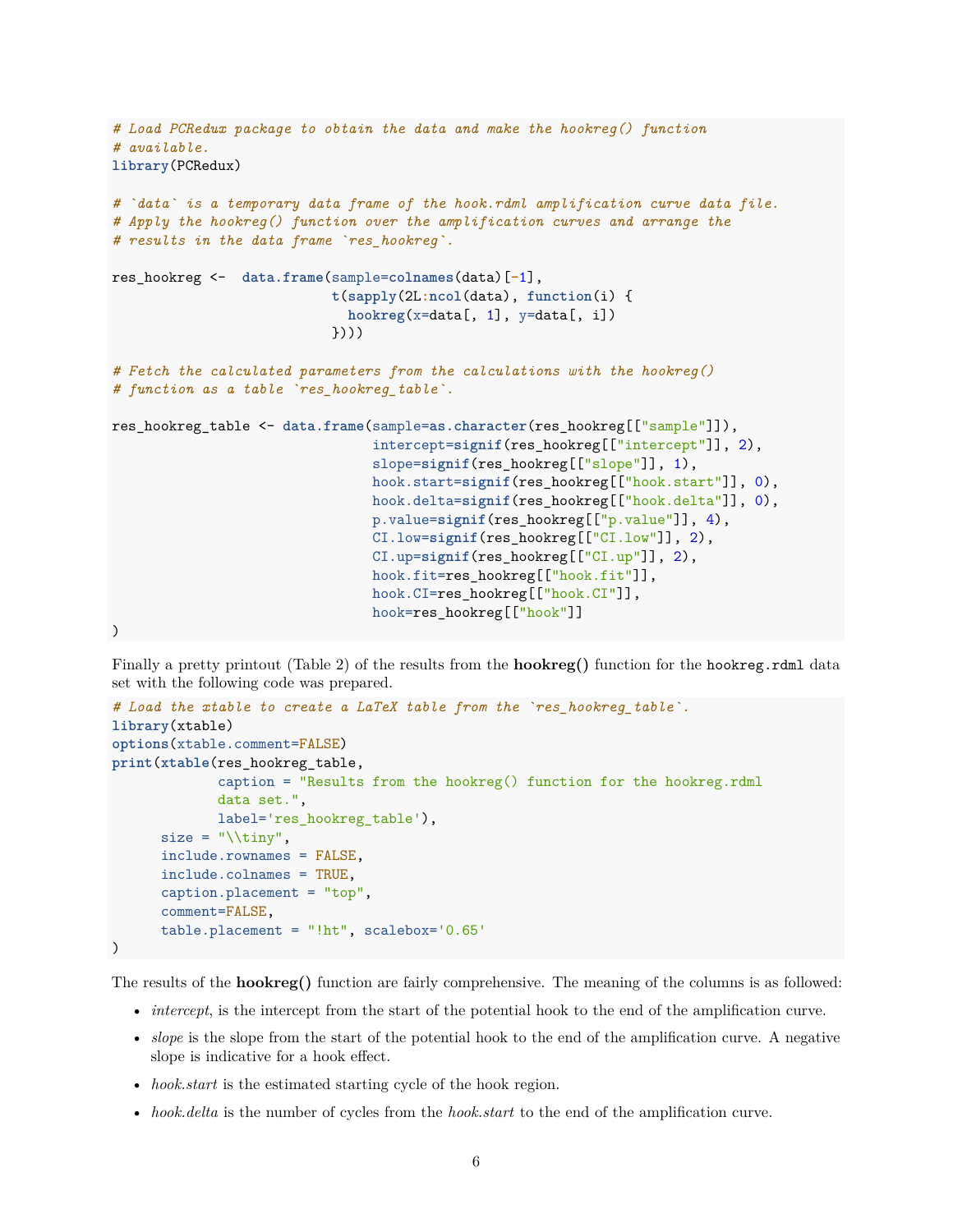```
# Load PCRedux package to obtain the data and make the hookreg() function
# available.
library(PCRedux)
# `data` is a temporary data frame of the hook.rdml amplification curve data file.
# Apply the hookreg() function over the amplification curves and arrange the
# results in the data frame `res_hookreg`.
res_hookreg <- data.frame(sample=colnames(data)[-1],
                           t(sapply(2L:ncol(data), function(i) {
                             hookreg(x=data[, 1], y=data[, i])
                           })))
# Fetch the calculated parameters from the calculations with the hookreg()
# function as a table `res_hookreg_table`.
res_hookreg_table <- data.frame(sample=as.character(res_hookreg[["sample"]]),
                                intercept=signif(res_hookreg[["intercept"]], 2),
                                slope=signif(res_hookreg[["slope"]], 1),
                                hook.start=signif(res_hookreg[["hook.start"]], 0),
                                hook.delta=signif(res_hookreg[["hook.delta"]], 0),
                                p.value=signif(res_hookreg[["p.value"]], 4),
                                CI.low=signif(res_hookreg[["CI.low"]], 2),
                                CI.up=signif(res_hookreg[["CI.up"]], 2),
                                hook.fit=res_hookreg[["hook.fit"]],
                                hook.CI=res_hookreg[["hook.CI"]],
                                hook=res_hookreg[["hook"]]
```
)

Finally a pretty printout (Table [2\)](#page-6-1) of the results from the **hookreg()** function for the hookreg.rdml data set with the following code was prepared.

```
# Load the xtable to create a LaTeX table from the `res_hookreg_table`.
library(xtable)
options(xtable.comment=FALSE)
print(xtable(res_hookreg_table,
             caption = "Results from the hookreg() function for the hookreg.rdml
             data set.",
             label='res_hookreg_table'),
      size = "\times",
      include.rownames = FALSE,
      include.colnames = TRUE,
      caption.placement = "top",
      comment=FALSE,
      table.placement = "!ht", scalebox='0.65'
)
```
The results of the **hookreg()** function are fairly comprehensive. The meaning of the columns is as followed:

- *intercept*, is the intercept from the start of the potential hook to the end of the amplification curve.
- *slope* is the slope from the start of the potential hook to the end of the amplification curve. A negative slope is indicative for a hook effect.
- *hook.start* is the estimated starting cycle of the hook region.
- *hook.delta* is the number of cycles from the *hook.start* to the end of the amplification curve.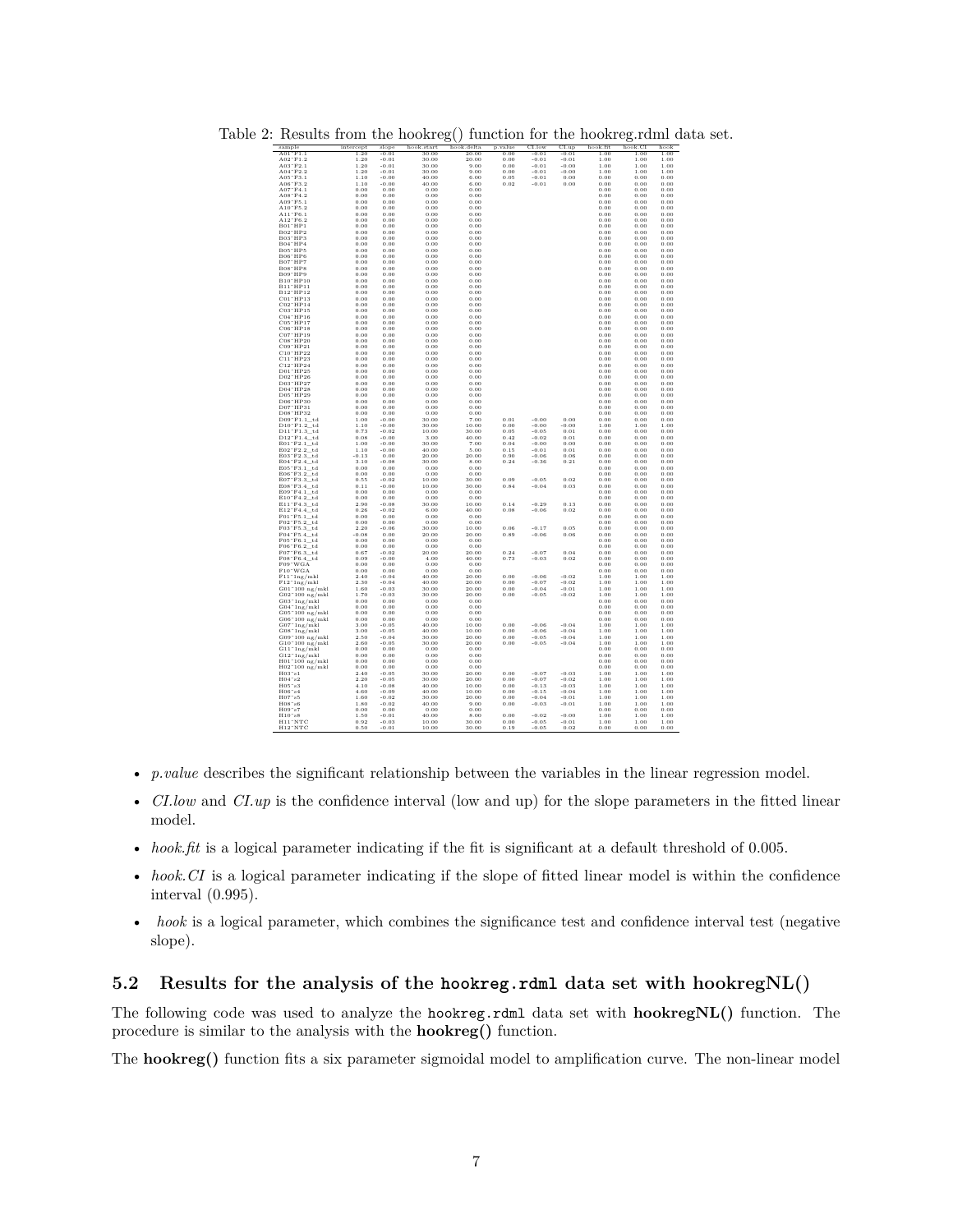<span id="page-6-1"></span>

| sample                                              | intercept    | slope              | hook.start     | hook.delta    | p.value      | CI.low             | CLup               | hook.fit     | hook.CI      | hook         |
|-----------------------------------------------------|--------------|--------------------|----------------|---------------|--------------|--------------------|--------------------|--------------|--------------|--------------|
| $A01$ <sup><math>T</math></sup> $F1.1$              | 1.20         | $-0.01$            | 30.00          | 20.00         | 0.00         | $-0.01$            | $-0.01$            | 1.00         | 1.00         | 1.00         |
| $A02$ <sup>*</sup> $F1.2$                           | 1.20         | $-0.01$            | 30.00          | 20.00         | 0.00         | $-0.01$            | $-0.01$            | 1.00         | 1.00         | 1.00         |
| $A03$ $F2.1$                                        | 1.20         | $-0.01$            | 30.00          | 9.00          | 0.00         | $-0.01$            | $-0.00$            | 1.00         | 1.00         | 1.00         |
| $A04$ <sup>~</sup> $F2.2$                           | 1.20         | $-0.01$            | 30.00          | 9.00          | 0.00         | $-0.01$            | $-0.00$            | 1.00         | 1.00         | 1.00         |
| $A05$ $\degree$ $F3.1$                              | 1.10         | $-0.00$            | 40.00          | 6.00          | 0.05         | $-0.01$            | 0.00               | 0.00         | 0.00         | 0.00         |
| A06~F3.2                                            | 1.10         | $-0.00$            | 40.00          | 6.00          | 0.02         | $-0.01$            | 0.00               | 0.00         | 0.00         | 0.00         |
| $A07^{\circ}F4.1$                                   | 0.00         | 0.00               | 0.00           | 0.00          |              |                    |                    | 0.00         | 0.00         | 0.00         |
| $A08$ <sup>~</sup> $F4.2$                           | 0.00         | 0.00               | 0.00           | 0.00          |              |                    |                    | 0.00         | 0.00         | 0.00         |
| A09~F5.1                                            | 0.00         | 0.00               | 0.00           | 0.00          |              |                    |                    | 0.00         | 0.00         | 0.00         |
| A10"F5.2                                            | 0.00         | 0.00               | 0.00           | 0.00          |              |                    |                    | 0.00         | 0.00         | 0.00         |
| $A11$ $F6.1$                                        | 0.00         | 0.00               | 0.00           | 0.00          |              |                    |                    | 0.00         | 0.00         | 0.00         |
| $A12\degree F6.2$                                   | 0.00         | 0.00               | 0.00           | 0.00          |              |                    |                    | 0.00         | 0.00         | 0.00         |
|                                                     | 0.00         | 0.00               | 0.00           | 0.00          |              |                    |                    | 0.00         | 0.00         | 0.00         |
| B01~HP1<br>B02~HP2                                  | 0.00         | 0.00               | 0.00           | 0.00          |              |                    |                    | 0.00         | 0.00         | 0.00         |
|                                                     |              |                    |                |               |              |                    |                    |              |              |              |
| B03 <sup>-</sup> HP3<br>B04~HP4                     | 0.00         | 0.00               | 0.00           | 0.00          |              |                    |                    | 0.00         | 0.00         | 0.00         |
|                                                     | 0.00         | 0.00               | 0.00           | 0.00          |              |                    |                    | 0.00         | 0.00         | 0.00         |
| B05~HP5                                             | 0.00         | 0.00               | 0.00           | 0.00          |              |                    |                    | 0.00         | 0.00         | 0.00         |
| B06 <sup>-</sup> HP6                                | 0.00         | 0.00               | 0.00           | 0.00          |              |                    |                    | 0.00         | 0.00         | $_{0.00}$    |
| B07~HP7                                             | 0.00         | 0.00               | 0.00           | 0.00          |              |                    |                    | 0.00         | 0.00         | $_{0.00}$    |
| B08 HP8                                             | 0.00         | 0.00               | 0.00           | 0.00          |              |                    |                    | 0.00         | 0.00         | 0.00         |
| B09 <sup>-</sup> HP9                                | 0.00         | 0.00               | 0.00           | 0.00          |              |                    |                    | 0.00         | 0.00         | 0.00         |
| B10"HP10                                            | 0.00         | 0.00               | 0.00           | 0.00          |              |                    |                    | 0.00         | 0.00         | 0.00         |
| B11"HP11                                            | 0.00         | 0.00               | 0.00           | 0.00          |              |                    |                    | 0.00         | 0.00         | 0.00         |
| B12"HP12                                            | 0.00         | 0.00               | 0.00           | 0.00          |              |                    |                    | 0.00         | 0.00         | 0.00         |
| C01"HP13                                            | 0.00         | 0.00               | 0.00           | 0.00          |              |                    |                    | 0.00         | 0.00         | $_{0.00}$    |
| $CO2$ <sup>-</sup> $HP14$                           | 0.00         | 0.00               | 0.00           | 0.00          |              |                    |                    | 0.00         | 0.00         | 0.00         |
| C03"HP15                                            | 0.00         | 0.00               | 0.00           | 0.00          |              |                    |                    | 0.00         | 0.00         | 0.00         |
| C04~HP16                                            | 0.00         | 0.00               | 0.00           | 0.00          |              |                    |                    | 0.00         | 0.00         | 0.00         |
| C05"HP17                                            | 0.00         | 0.00               | 0.00           | 0.00          |              |                    |                    | 0.00         | 0.00         | 0.00         |
| C06"HP18                                            | 0.00         | 0.00               | 0.00           | 0.00          |              |                    |                    | 0.00         | 0.00         | 0.00         |
| C07"HP19                                            | 0.00         | 0.00               | 0.00           | 0.00          |              |                    |                    | 0.00         | 0.00         | 0.00         |
| C08"HP20                                            | 0.00         | 0.00               | 0.00           | 0.00          |              |                    |                    | 0.00         | 0.00         | 0.00         |
| C09 <sup>-</sup> HP21                               | 0.00         | 0.00               | 0.00           | 0.00          |              |                    |                    | 0.00         | 0.00         | 0.00         |
| $C10$ "HP22                                         | 0.00         | 0.00               | 0.00           | 0.00          |              |                    |                    | 0.00         | 0.00         | $_{0.00}$    |
| C11"HP23                                            | 0.00         | 0.00               | 0.00           | 0.00          |              |                    |                    | 0.00         | 0.00         | 0.00         |
| C12"HP24                                            | 0.00         | 0.00               | 0.00           | 0.00          |              |                    |                    | 0.00         | 0.00         | 0.00         |
| D01"HP25                                            | 0.00         | 0.00               | 0.00           | 0.00          |              |                    |                    | 0.00         | 0.00         | 0.00         |
|                                                     |              |                    |                |               |              |                    |                    |              |              |              |
| $D02$ HP $26$                                       | 0.00         | 0.00               | 0.00           | 0.00          |              |                    |                    | 0.00         | 0.00         | $_{0.00}$    |
| D03"HP27                                            | 0.00         | 0.00               | 0.00           | 0.00          |              |                    |                    | 0.00         | 0.00         | 0.00         |
| D04"HP28                                            | 0.00         | 0.00               | 0.00           | 0.00          |              |                    |                    | 0.00         | 0.00         | 0.00         |
| D05"HP29                                            | 0.00         | 0.00               | 0.00           | 0.00          |              |                    |                    | 0.00         | 0.00         | 0.00         |
| D06"HP30                                            | 0.00         | 0.00               | 0.00           | 0.00          |              |                    |                    | 0.00         | 0.00         | 0.00         |
| D07"HP31                                            | 0.00         | 0.00               | 0.00           | 0.00          |              |                    |                    | 0.00         | 0.00         | 0.00         |
| D08"HP32                                            | 0.00         | 0.00               | 0.00           | 0.00          |              |                    |                    | 0.00         | 0.00         | 0.00         |
| D09"F1.1 td                                         | 1.00         | $-0.00$            | 30.00          | 7.00          | 0.01         | $-0.00$            | 0.00               | 0.00         | 0.00         | 0.00         |
| $D10$ <sup>"</sup> $F1.2$ <sup>"</sup> td           | 1.10         | $-0.00$            | 30.00          | 10.00         | 0.00         | $-0.00$            | $-0.00$            | 1.00         | 1.00         | 1.00         |
| $D11^\circ F1.3$ td                                 | 0.73         | $-0.02$            | 10.00          | 30.00         | 0.05         | $-0.05$            | 0.01               | 0.00         | 0.00         | 0.00         |
| D12"F1.4_td                                         | 0.08         | $-0.00$            | 3.00           | 40.00         | 0.42         | $-0.02$            | 0.01               | 0.00         | 0.00         | 0.00         |
| E01"F2.1 td                                         | 1.00         | $-0.00$            | 30.00          | 7.00          | 0.04         | $-0.00$            | 0.00               | 0.00         | 0.00         | 0.00         |
| $E02$ <sup>-</sup> $F2.2$ <sup>-td</sup>            | 1.10         | $-0.00$            | 40.00          | 5.00          | 0.15         | $-0.01$            | 0.01               | 0.00         | 0.00         | 0.00         |
| E03 F2.3_td                                         | $-0.13$      | 0.00               | 20.00          | 20.00         | 0.90         | $-0.06$            | 0.06               | 0.00         | 0.00         | 0.00         |
| $E04°F2.4\_td$                                      | 3.10         | $-0.08$            | 30.00          | 8.00          | 0.24         | $-0.36$            | 0.21               | 0.00         | 0.00         | 0.00         |
| E05"F3.1_td                                         | 0.00         | 0.00               | 0.00           | 0.00          |              |                    |                    | 0.00         | 0.00         | $_{0.00}$    |
| $E06$ <sup>-</sup> $F3.2$ td                        | 0.00         | 0.00               | 0.00           | 0.00          |              |                    |                    | 0.00         | 0.00         | $_{0.00}$    |
| E07"F3.3_td                                         | 0.55         | $-0.02$            | 10.00          | 30.00         | 0.09         | $-0.05$            | 0.02               | 0.00         | 0.00         | 0.00         |
| E08"F3.4_td                                         | 0.11         | $-0.00$            | 10.00          | 30.00         | 0.84         | $-0.04$            | 0.03               | 0.00         | 0.00         | 0.00         |
| E09F4.1td                                           | 0.00         | 0.00               | 0.00           | 0.00          |              |                    |                    | 0.00         | 0.00         | 0.00         |
| $E10^-F4.2$ _td                                     | 0.00         | 0.00               | 0.00           | 0.00          |              |                    |                    | 0.00         | 0.00         | $_{0.00}$    |
| E11"F4.3 td                                         | 2.90         | $-0.08$            | 30.00          | 10.00         | 0.14         | $-0.29$            | 0.13               | $_{0.00}$    | 0.00         | 0.00         |
| E12"F4.4 td                                         | 0.26         | $-0.02$            | 6.00           | 40.00         | 0.08         | $-0.06$            | 0.02               | 0.00         | 0.00         | 0.00         |
| $F01^\circ F5.1$ td                                 | 0.00         | 0.00               | 0.00           | 0.00          |              |                    |                    | 0.00         | 0.00         | 0.00         |
|                                                     |              |                    |                |               |              |                    |                    |              |              |              |
| F02~F5.2_td                                         | 0.00         | 0.00               | 0.00           | 0.00          |              | $-0.17$            | 0.05               | 0.00         | 0.00         | 0.00         |
| $F03"F5.3$ _td                                      | 2.20         | $-0.06$            | 30.00          | 10.00         | 0.06         |                    |                    | 0.00         | 0.00         | 0.00         |
| F04~F5.4 td                                         | $-0.08$      | 0.00               | 20.00          | 20.00         | 0.89         | $-0.06$            | 0.06               | 0.00         | 0.00         | 0.00         |
| $F05$ <sup>"</sup> $F6.1$ <sup>"</sup> td           | 0.00         | 0.00               | 0.00           | 0.00          |              |                    |                    | 0.00         | 0.00         | 0.00         |
| F06"F6.2"td                                         | 0.00         | 0.00               | 0.00           | 0.00          |              |                    |                    | 0.00         | 0.00         | 0.00         |
| $F07$ <sup><math>-</math></sup> $F6.3$ td           | 0.67         | $-0.02$            | 20.00          | 20.00         | 0.24         | $-0.07$            | 0.04               | 0.00         | 0.00         | 0.00         |
| $F08\degree F6.4$ <sub>td</sub><br>$F09\degree WGA$ | 0.09         | $-0.00$            | 4.00           | 40.00         | 0.73         | $-0.03$            | 0.02               | 0.00         | 0.00         | 0.00         |
|                                                     | 0.00         | 0.00               | 0.00           | 0.00          |              |                    |                    | 0.00         | 0.00         | 0.00         |
|                                                     | 0.00         | 0.00               | 0.00           | 0.00          |              |                    |                    | 0.00         | 0.00         | 0.00         |
| F10"WGA<br>F11"1ng/mkl                              | 2.40         | $-0.04$            | 40.00          | 20.00         | 0.00         | $-0.06$            | $-0.02$            | 1.00         | 1.00         | 1.00         |
| $F12^{\degree}1ng/mkl$                              | 2.30         | $-0.04$            | 40.00          | 20.00         | 0.00         | $-0.07$            | $-0.02$            | 1.00         | 1.00         | 1.00         |
| $G01^{\circ}100$ ng/mkl                             | 1.60         | $-0.03$            | 30.00          | 20.00         | 0.00         | $-0.04$            | $-0.01$            | 1.00         | 1.00         | 1.00         |
| $G02^{\circ}100$ ng/mkl                             | 1.70         | $-0.03$            | 30.00          | 20.00         | 0.00         | $-0.05$            | $-0.02$            | 1.00         | 1.00         | 1.00         |
| $G03$ <sup>~1</sup> ng/mkl                          | 0.00         | 0.00               | 0.00           | 0.00          |              |                    |                    | 0.00         | 0.00         | 0.00         |
|                                                     | 0.00         | 0.00               | 0.00           | 0.00          |              |                    |                    | 0.00         | 0.00         | 0.00         |
| $G04^{\circ}$ 1ng/mkl<br>$G05^{\circ}$ 100 ng/mkl   | 0.00         | 0.00               | 0.00           | 0.00          |              |                    |                    | 0.00         | 0.00         | 0.00         |
| $G06^{\circ}100$ ng/mkl                             | 0.00         | 0.00               | 0.00           | 0.00          |              |                    |                    | 0.00         | 0.00         | 0.00         |
| $G07$ <sup>~</sup> 1ng/mkl                          | 3.00         | $-0.05$            | 40.00          | 10.00         | 0.00         | $-0.06$            | $-0.04$            | 1.00         | 1.00         | 1.00         |
| $G08^{\circ}$ 1ng/mkl                               | 3.00         | $-0.05$            | 40.00          | 10.00         | 0.00         | $-0.06$            | $-0.04$            | 1.00         | 1.00         | 1.00         |
|                                                     | 2.50         | $-0.04$            | 30.00          | 20.00         | 0.00         | $-0.05$            | $-0.04$            | 1.00         | 1.00         | 1.00         |
| $G09°100$ ng/mkl<br>$G10°100$ ng/mkl                |              |                    |                |               |              |                    |                    |              |              |              |
|                                                     | 2.60         | $-0.05$            | 30.00          | 20.00         | 0.00         | $-0.05$            | $-0.04$            | 1.00         | 1.00         | 1.00         |
| $G11$ " $\frac{1}{1}$ ng/mkl                        | 0.00         | 0.00               | 0.00           | 0.00          |              |                    |                    | 0.00         | 0.00         | 0.00         |
| $\rm G12^{\,\circ}\,ln g/mkl$                       | 0.00         | 0.00               | 0.00           | 0.00          |              |                    |                    | 0.00         | 0.00         | 0.00         |
| H01~100 ng/mkl<br>H02~100 ng/mkl                    | 0.00         | 0.00               | 0.00           | 0.00          |              |                    |                    | 0.00         | 0.00         | 0.00         |
|                                                     | 0.00         | 0.00               | 0.00           | 0.00          |              |                    |                    | 0.00         | 0.00         | 0.00         |
| H03"s1                                              | 2.40         | $-0.05$            | 30.00          | 20.00         | 0.00         | $-0.07$            | $-0.03$            | 1.00         | 1.00         | 1.00         |
| $H04$ <sup><math>\degree</math></sup> s2            | 2.20         | $-0.05$            | 30.00          | 20.00         | 0.00         | $-0.07$            | $-0.02$            | 1.00         | 1.00         | 1.00         |
|                                                     | 4.10         | $-0.08$            | 40.00          | 10.00         | 0.00         | $-0.13$            | $-0.03$            | 1.00         | 1.00         | 1.00         |
|                                                     | 4.60         | $-0.09$            | 40.00          | 10.00         | 0.00         | $-0.15$            | $-0.04$            | 1.00         | 1.00         | 1.00         |
| H05~s3                                              |              |                    | 30.00          | 20.00         | 0.00         | $-0.04$            | $-0.01$            | 1.00         | 1.00         | 1.00         |
| $H06$ <sup>~<math>s4</math></sup>                   |              |                    |                |               |              |                    |                    |              |              |              |
| H07"s5                                              | 1.60         | $-0.02$            |                |               |              |                    |                    |              |              |              |
| H08°s6                                              | 1.80         | $-0.02$            | 40.00          | 9.00          | 0.00         | $-0.03$            | $-0.01$            | 1.00         | 1.00         | 1.00         |
| H09"s7                                              | 0.00         | 0.00               | 0.00           | 0.00          |              |                    |                    | 0.00         | 0.00         | $_{0.00}$    |
| $H10^\circ s8$<br>H11"NTC                           | 1.50<br>0.92 | $-0.01$<br>$-0.03$ | 40.00<br>10.00 | 8.00<br>30.00 | 0.00<br>0.00 | $-0.02$<br>$-0.05$ | $-0.00$<br>$-0.01$ | 1.00<br>1.00 | 1.00<br>1.00 | 1.00<br>1.00 |

Table 2: Results from the hookreg() function for the hookreg.rdml data set.

- *p.value* describes the significant relationship between the variables in the linear regression model.
- *CI.low* and *CI.up* is the confidence interval (low and up) for the slope parameters in the fitted linear model.
- *hook.fit* is a logical parameter indicating if the fit is significant at a default threshold of 0.005.
- *hook.CI* is a logical parameter indicating if the slope of fitted linear model is within the confidence interval (0.995).
- *hook* is a logical parameter, which combines the significance test and confidence interval test (negative slope).

#### <span id="page-6-0"></span>**5.2 Results for the analysis of the hookreg.rdml data set with hookregNL()**

The following code was used to analyze the hookreg.rdml data set with **hookregNL()** function. The procedure is similar to the analysis with the **hookreg()** function.

The **hookreg()** function fits a six parameter sigmoidal model to amplification curve. The non-linear model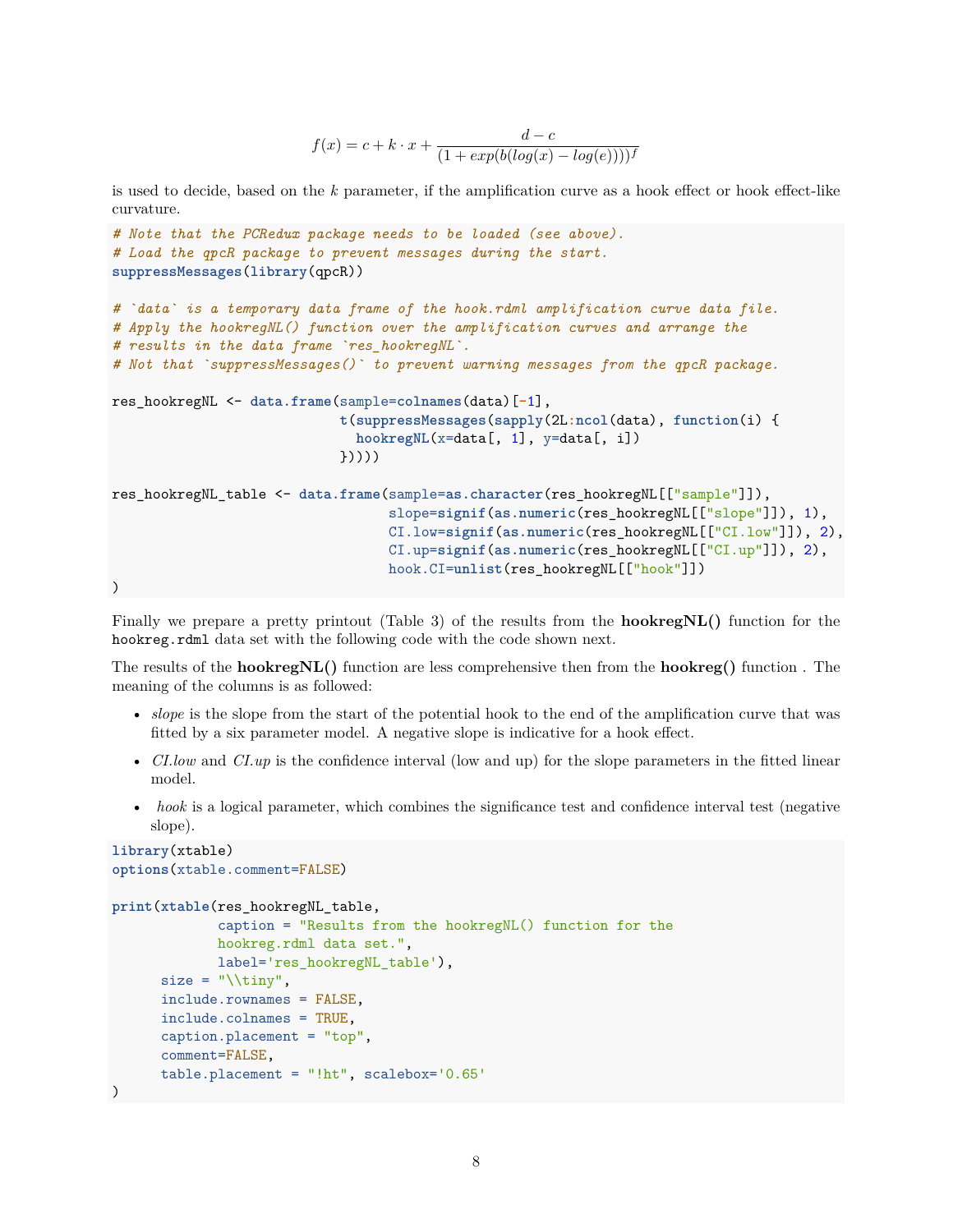$$
f(x) = c + k \cdot x + \frac{d - c}{(1 + exp(b(log(x) - log(e))))^f}
$$

is used to decide, based on the *k* parameter, if the amplification curve as a hook effect or hook effect-like curvature.

```
# Note that the PCRedux package needs to be loaded (see above).
# Load the qpcR package to prevent messages during the start.
suppressMessages(library(qpcR))
# `data` is a temporary data frame of the hook.rdml amplification curve data file.
# Apply the hookregNL() function over the amplification curves and arrange the
# results in the data frame `res_hookregNL`.
# Not that `suppressMessages()` to prevent warning messages from the qpcR package.
res_hookregNL <- data.frame(sample=colnames(data)[-1],
                            t(suppressMessages(sapply(2L:ncol(data), function(i) {
                              hookregNL(x=data[, 1], y=data[, i])
                            }))))
res_hookregNL_table <- data.frame(sample=as.character(res_hookregNL[["sample"]]),
                                  slope=signif(as.numeric(res_hookregNL[["slope"]]), 1),
                                  CI.low=signif(as.numeric(res_hookregNL[["CI.low"]]), 2),
                                  CI.up=signif(as.numeric(res_hookregNL[["CI.up"]]), 2),
                                  hook.CI=unlist(res_hookregNL[["hook"]])
)
```
Finally we prepare a pretty printout (Table [3\)](#page-8-1) of the results from the **hookregNL()** function for the hookreg.rdml data set with the following code with the code shown next.

The results of the **hookregNL()** function are less comprehensive then from the **hookreg()** function . The meaning of the columns is as followed:

- *slope* is the slope from the start of the potential hook to the end of the amplification curve that was fitted by a six parameter model. A negative slope is indicative for a hook effect.
- *CI.low* and *CI.up* is the confidence interval (low and up) for the slope parameters in the fitted linear model.
- *hook* is a logical parameter, which combines the significance test and confidence interval test (negative slope).

```
library(xtable)
options(xtable.comment=FALSE)
```

```
print(xtable(res_hookregNL_table,
```

```
caption = "Results from the hookregNL() function for the
             hookreg.rdml data set.",
             label='res_hookregNL_table'),
      size = "\dot{line},include.rownames = FALSE,
      include.colnames = TRUE,
      caption.placement = "top",
      comment=FALSE,
      table.placement = "!ht", scalebox='0.65'
)
```

```
8
```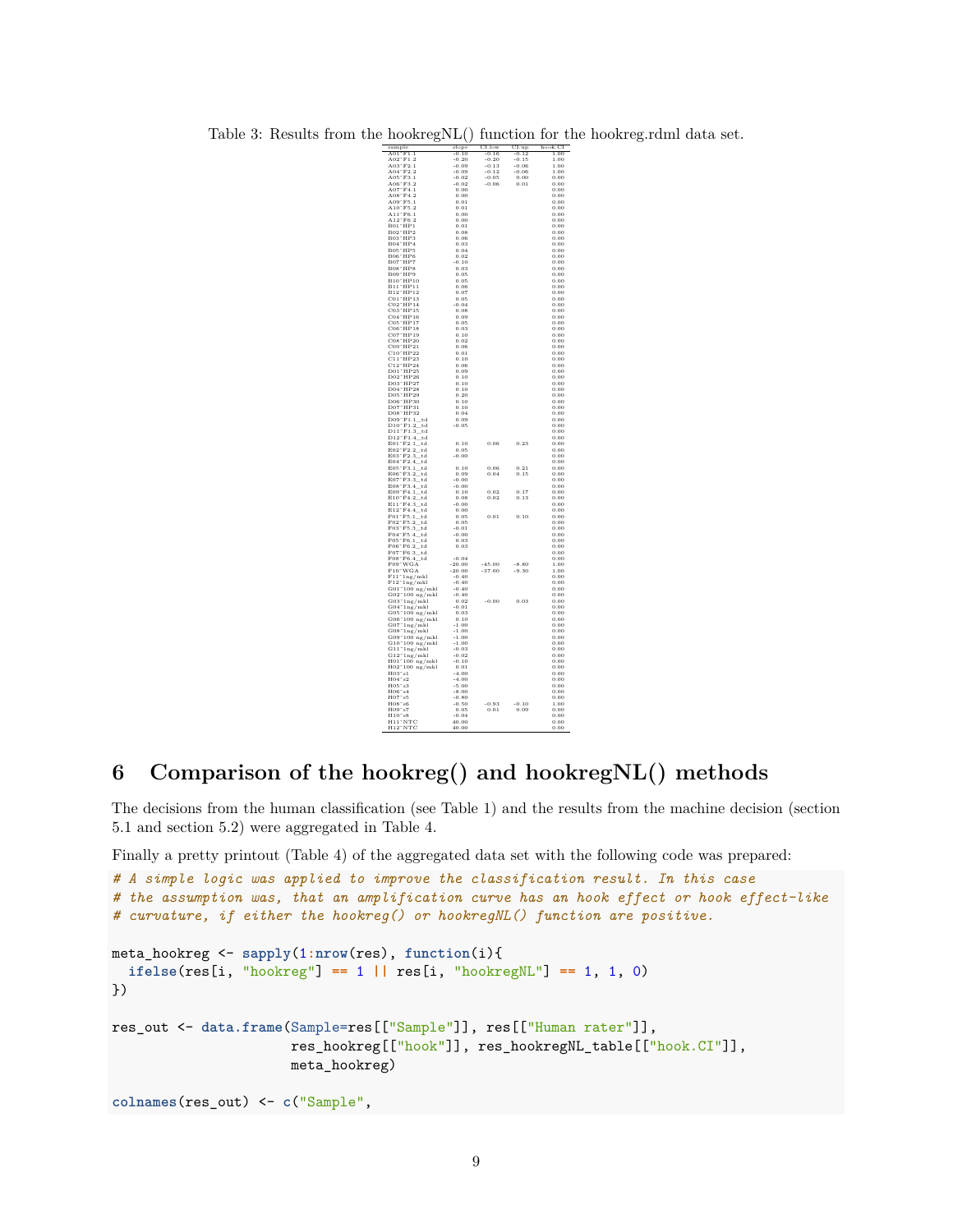<span id="page-8-1"></span>Table 3: Results from the hookregNL() function for the hookreg.rdml data set.

| $\frac{\text{sample}}{\text{MeV}}$                                                                                                          | slope                | $CL.$ low                   | $\overline{\text{CI.up}}$                   | $\overline{\text{hook}}, \text{CI}$ |
|---------------------------------------------------------------------------------------------------------------------------------------------|----------------------|-----------------------------|---------------------------------------------|-------------------------------------|
| $\overline{F1.1}$<br>A01                                                                                                                    | $-0.10$              | $-0.16$                     | $-0.12$                                     | 1.00                                |
| AUI F1.1<br>A02~F1.2<br>A03~F2.1                                                                                                            | $-0.20$              | $-0.20$                     | $-0.15$                                     | 1.00                                |
|                                                                                                                                             | $-0.09$              | $-0.13$                     | $-0.06$                                     | 1.00                                |
| AU3 F2.1<br>A04~F2.2<br>A05~F3.1                                                                                                            | $-0.09$<br>$-0.02$   | $\substack{+0.12 \\ -0.05}$ | $-0.06$                                     | 1.00<br>0.00                        |
|                                                                                                                                             | $-0.02$              | $\textbf{-0.06}$            | $\begin{array}{c} 0.00 \\ 0.01 \end{array}$ | 0.00                                |
| A05 F3.1<br>A06~F3.2<br>A07~F4.1                                                                                                            | 0.00                 |                             |                                             | 0.00                                |
| $A08 - F4.2$                                                                                                                                | 0.00                 |                             |                                             | 0.00                                |
| A09 F5.1                                                                                                                                    | 0.01                 |                             |                                             | 0.00                                |
| A10"F5.2                                                                                                                                    | 0.01                 |                             |                                             | 0.00                                |
| A10 F 0.2<br>A11 F6.1                                                                                                                       | 0.00                 |                             |                                             | 0.00                                |
| A12°F6.2                                                                                                                                    | 0.00                 |                             |                                             | 0.00                                |
| <b>B01 HP1</b><br>B02 HP2                                                                                                                   | 0.01                 |                             |                                             | 0.00                                |
|                                                                                                                                             | 0.08                 |                             |                                             | 0.00                                |
| B03~HP3<br>B04~HP4                                                                                                                          | 0.06<br>0.03         |                             |                                             | 0.00<br>0.00                        |
|                                                                                                                                             | 0.04                 |                             |                                             | 0.00                                |
| B05" HP5<br>B06" HP6<br>B07" HP7                                                                                                            | 0.02                 |                             |                                             | 0.00                                |
|                                                                                                                                             | $-0.10$              |                             |                                             | 0.00                                |
| $B08$ <sup>-</sup> $HP8$                                                                                                                    | 0.03                 |                             |                                             | 0.00                                |
| B09~HP9<br>B09~HP9<br>B10~HP10                                                                                                              | 0.05                 |                             |                                             | 0.00                                |
|                                                                                                                                             | 0.05                 |                             |                                             | 0.00                                |
| B10 111 10<br>B11 1 HP11<br>B12 1 HP12                                                                                                      | 0.06                 |                             |                                             | 0.00                                |
|                                                                                                                                             | 0.07                 |                             |                                             | 0.00                                |
| в12 пр12<br>C01°HP13<br>C02°HP14                                                                                                            | 0.05                 |                             |                                             | 0.00                                |
|                                                                                                                                             | $-0.04$              |                             |                                             | $_{0.00}$                           |
|                                                                                                                                             | 0.08                 |                             |                                             | 0.00                                |
| C02 HP14<br>C03 HP15<br>C04 HP16<br>C05 HP17                                                                                                | 0.09<br>0.05         |                             |                                             | 0.00<br>0.00                        |
| C05 HF11                                                                                                                                    | 0.03                 |                             |                                             | 0.00                                |
| $CO7$ <sup>-</sup> $HP19$                                                                                                                   | 0.10                 |                             |                                             | 0.00                                |
| $C08$ $^+$ HP <sub>20</sub>                                                                                                                 | 0.02                 |                             |                                             | 0.00                                |
| C09 <sup>-</sup> HP21                                                                                                                       | 0.06                 |                             |                                             | 0.00                                |
| C10"HP22<br>C11"HP23                                                                                                                        | 0.01                 |                             |                                             | 0.00                                |
|                                                                                                                                             | 0.10                 |                             |                                             | 0.00                                |
| C11 HF25<br>C12 HP24<br>D01 HP25                                                                                                            | 0.06                 |                             |                                             | 0.00                                |
| D02~HP26                                                                                                                                    | 0.09                 |                             |                                             | 0.00                                |
| D03"HP27                                                                                                                                    | 0.10                 |                             |                                             | 0.00                                |
|                                                                                                                                             | 0.10<br>0.10         |                             |                                             | 0.00<br>0.00                        |
| D03 HP27<br>D04~HP28<br>D05~HP29                                                                                                            | 0.20                 |                             |                                             | 0.00                                |
| D06"HP30<br>D07"HP31                                                                                                                        | 0.10                 |                             |                                             | 0.00                                |
|                                                                                                                                             | 0.10                 |                             |                                             | 0.00                                |
|                                                                                                                                             | 0.04                 |                             |                                             | 0.00                                |
| DU7 HF 31<br>D08~HP32<br>D09~F1.1_td                                                                                                        | 0.09                 |                             |                                             | 0.00                                |
| D09 F1.1_tu<br>D10~F1.2_td<br>D11~F1.3_td                                                                                                   | $-0.05$              |                             |                                             | 0.00                                |
|                                                                                                                                             |                      |                             |                                             | 0.00                                |
| $D12 \degree F1.4\_td$<br>$E01^{\circ}F2.1$ _td                                                                                             |                      |                             |                                             | 0.00                                |
| $E02 \degree F2.2$ td                                                                                                                       | 0.10<br>0.05         | 0.06                        | 0.23                                        | 0.00<br>0.00                        |
| $E03~\mathrm{F}2.3\_\mathrm{td}$                                                                                                            | $-0.00$              |                             |                                             | 0.00                                |
| E03 r2.9_w<br>E04 F2.4_td                                                                                                                   |                      |                             |                                             | 0.00                                |
|                                                                                                                                             | 0.10                 | 0.06                        | 0.21                                        | 0.00                                |
| E05"F3.1_td<br>E06"F3.2_td                                                                                                                  | 0.09                 | $_{0.04}$                   | 0.15                                        | 0.00                                |
| $E07^\circ \mathrm{F3.3\_td}$                                                                                                               | $-0.00$              |                             |                                             | 0.00                                |
| $E08~F3.4$ td                                                                                                                               | $-0.00$              |                             |                                             | 0.00                                |
| E09"F4.1_td<br>E10"F4.2_td                                                                                                                  | 0.10                 | 0.02                        | 0.17                                        | 0.00                                |
|                                                                                                                                             | 0.08                 | $0.02\,$                    | 0.13                                        | 0.00                                |
| E10<br>E11 F4.3_td<br>E12 F4.4_td                                                                                                           | $-0.00$<br>0.00      |                             |                                             | 0.00<br>0.00                        |
| $\overline{F01}$ $\overline{F5.1}$ td                                                                                                       | 0.05                 | 0.01                        | 0.10                                        | 0.00                                |
| F01 F0.1_-<br>F02~F5.2_td                                                                                                                   | 0.05                 |                             |                                             | 0.00                                |
|                                                                                                                                             | $-0.01$              |                             |                                             | 0.00                                |
| F02 F5.4_td<br>F03~F5.3_td<br>F04~F5.4_td                                                                                                   | $-0.00$              |                             |                                             | 0.00                                |
|                                                                                                                                             | 0.03                 |                             |                                             | 0.00                                |
| F04 F5.4_tu<br>F05~F6.1_td<br>F06~F6.2_td                                                                                                   | 0.03                 |                             |                                             | 0.00                                |
| $F07~F6.3$ td                                                                                                                               |                      |                             |                                             | 0.00                                |
| F07 F6.5_tu<br>F08~F6.4_td<br>F09~WGA                                                                                                       | $-0.04$              |                             |                                             | 0.00                                |
|                                                                                                                                             | $-20.00$<br>$-20.00$ | $-45.00$<br>$-37.00$        | $-8.80$<br>$-9.30$                          | 1.00<br>1.00                        |
| Fuo<br>F10~WGA<br>F11~1ng/mkl                                                                                                               | $-0.40$              |                             |                                             | 0.00                                |
| $F12^{\circ}1ng/mkl$                                                                                                                        | $-0.40$              |                             |                                             | 0.00                                |
|                                                                                                                                             | $-0.40$              |                             |                                             | 0.00                                |
|                                                                                                                                             | $-0.40$              |                             |                                             | 0.00                                |
| F12" ing/msi<br>G01" 100 ng/mkl<br>G02" 100 ng/mkl<br>G03" ing/mkl<br>T01" ing/mkl                                                          | 0.02                 | $-0.00$                     | 0.03                                        | 0.00                                |
| G03 <sup>-</sup> 1ng/mki<br>G04 <sup>-</sup> 1ng/mki<br>G05 <sup>-</sup> 100 ng/mki<br>G07 <sup>-</sup> 1ng/mki<br>G07 <sup>-</sup> 1ng/mki | $-0.01$              |                             |                                             | 0.00                                |
|                                                                                                                                             | 0.03                 |                             |                                             | 0.00                                |
|                                                                                                                                             | 0.10                 |                             |                                             | 0.00                                |
|                                                                                                                                             | $-1.00$              |                             |                                             | 0.00                                |
| G07 <sup>-</sup> 1ng/mы<br>G08 <sup>-</sup> 1ng/mkl<br>G09 <sup>-</sup> 100 ng/mkl<br>G11 <sup>-</sup> 1ng/mkl<br>G11 <sup>-</sup> 1ng/mkl  | $-1.00$              |                             |                                             | 0.00<br>0.00                        |
|                                                                                                                                             | $-1.00$<br>$-1.00$   |                             |                                             | 0.00                                |
|                                                                                                                                             | $-0.03$              |                             |                                             | 0.00                                |
| G11 " 1ng/mki<br>G12 " 1ng/mki<br>H01 " 100 ng/mki<br>H02 " 100 ng/mki<br>H03 " s1                                                          | $-0.02$              |                             |                                             | 0.00                                |
|                                                                                                                                             | $-0.10$              |                             |                                             | 0.00                                |
|                                                                                                                                             | 0.01                 |                             |                                             | 0.00                                |
|                                                                                                                                             |                      |                             |                                             | 0.00                                |
|                                                                                                                                             | $-4.00$              |                             |                                             | 0.00                                |
| $H04 - s2$                                                                                                                                  | $-4.00$              |                             |                                             |                                     |
|                                                                                                                                             | $-5.00$              |                             |                                             | 0.00                                |
| H05"s3<br>H06"s4                                                                                                                            | $-8.00$              |                             |                                             | 0.00                                |
| $_{\rm s5}$<br>H07                                                                                                                          | $-0.80$              |                             |                                             | 0.00                                |
| $H08 - s6$                                                                                                                                  | $-0.50$              | $-0.93$                     | $-0.10$                                     | 1.00                                |
|                                                                                                                                             | 0.05                 | 0.01                        | 0.09                                        | 0.00                                |
| H09"s7<br>H10"s8<br>H11"NTC<br>H12"NTC                                                                                                      | $-0.04$<br>40.00     |                             |                                             | 0.00<br>0.00                        |

# <span id="page-8-0"></span>**6 Comparison of the hookreg() and hookregNL() methods**

The decisions from the human classification (see Table [1\)](#page-4-2) and the results from the machine decision (section [5.1](#page-4-1) and section [5.2\)](#page-6-0) were aggregated in Table [4.](#page-11-0)

Finally a pretty printout (Table [4\)](#page-11-0) of the aggregated data set with the following code was prepared:

```
# A simple logic was applied to improve the classification result. In this case
# the assumption was, that an amplification curve has an hook effect or hook effect-like
# curvature, if either the hookreg() or hookregNL() function are positive.
meta_hookreg <- sapply(1:nrow(res), function(i){
  ifelse(res[i, "hookreg"] == 1 || res[i, "hookregNL"] == 1, 1, 0)
})
res_out <- data.frame(Sample=res[["Sample"]], res[["Human rater"]],
                      res_hookreg[["hook"]], res_hookregNL_table[["hook.CI"]],
                      meta_hookreg)
colnames(res_out) <- c("Sample",
```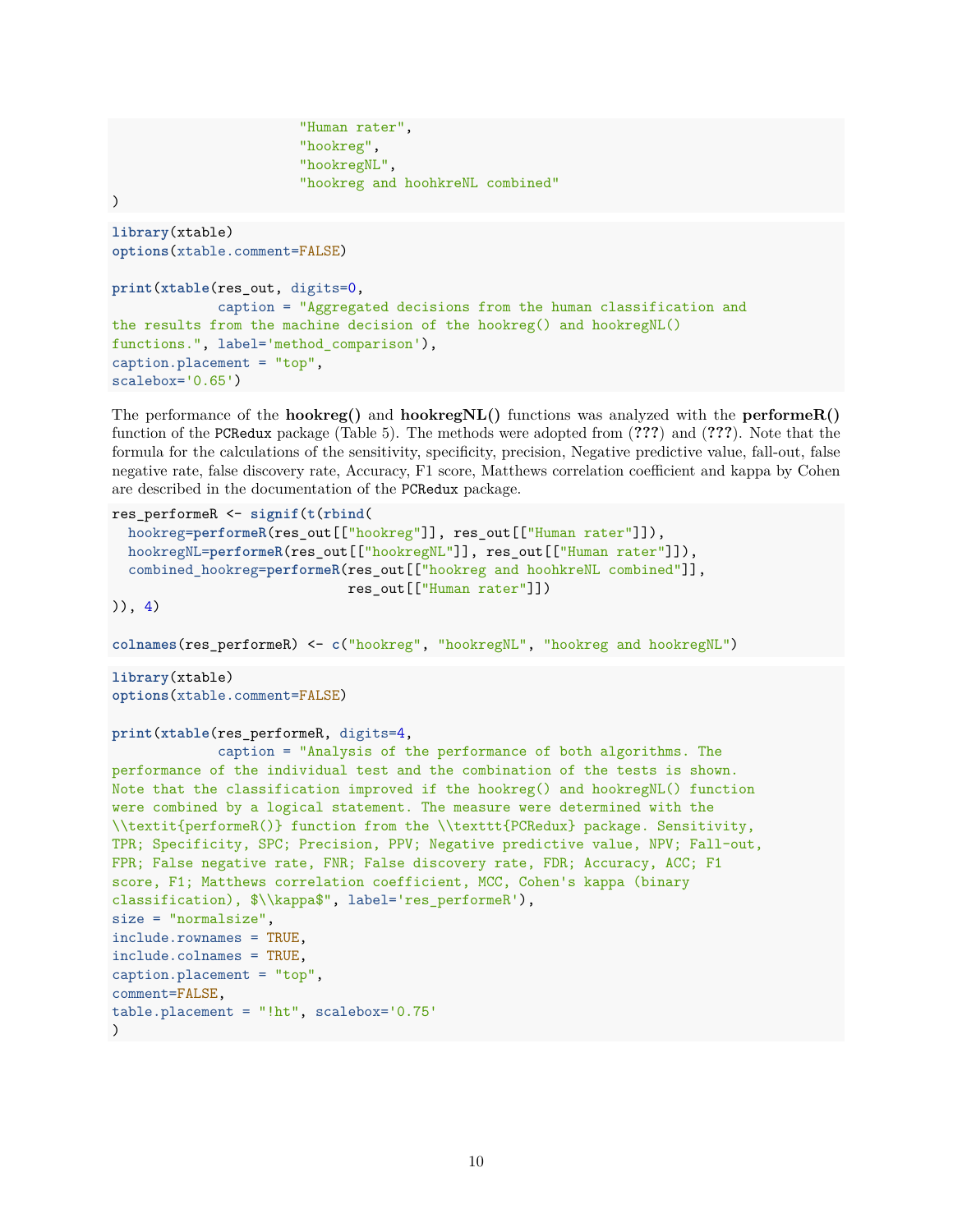```
"Human rater",
                       "hookreg",
                       "hookregNL",
                       "hookreg and hoohkreNL combined"
)
library(xtable)
options(xtable.comment=FALSE)
print(xtable(res_out, digits=0,
             caption = "Aggregated decisions from the human classification and
the results from the machine decision of the hookreg() and hookregNL()
functions.", label='method comparison'),
caption.placement = "top",
scalebox='0.65')
```
The performance of the **hookreg()** and **hookregNL()** functions was analyzed with the **performeR()** function of the PCRedux package (Table [5\)](#page-12-0). The methods were adopted from (**???**) and (**???**). Note that the formula for the calculations of the sensitivity, specificity, precision, Negative predictive value, fall-out, false negative rate, false discovery rate, Accuracy, F1 score, Matthews correlation coefficient and kappa by Cohen are described in the documentation of the PCRedux package.

```
res_performeR <- signif(t(rbind(
```

```
hookreg=performeR(res_out[["hookreg"]], res_out[["Human rater"]]),
hookregNL=performeR(res_out[["hookregNL"]], res_out[["Human rater"]]),
combined_hookreg=performeR(res_out[["hookreg and hoohkreNL combined"]],
                           res_out[["Human rater"]])
```
)), 4)

```
colnames(res_performeR) <- c("hookreg", "hookregNL", "hookreg and hookregNL")
```
**library**(xtable) **options**(xtable.comment=FALSE)

```
print(xtable(res_performeR, digits=4,
```

```
caption = "Analysis of the performance of both algorithms. The
performance of the individual test and the combination of the tests is shown.
Note that the classification improved if the hookreg() and hookregNL() function
were combined by a logical statement. The measure were determined with the
\\textit{performeR()} function from the \\texttt{PCRedux} package. Sensitivity,
TPR; Specificity, SPC; Precision, PPV; Negative predictive value, NPV; Fall-out,
FPR; False negative rate, FNR; False discovery rate, FDR; Accuracy, ACC; F1
score, F1; Matthews correlation coefficient, MCC, Cohen's kappa (binary
classification), $\\kappa$", label='res_performeR'),
size = "normalsize",
include.rownames = TRUE,
include.colnames = TRUE,
caption.placement = "top",
comment=FALSE,
table.placement = "!ht", scalebox='0.75'
\lambda
```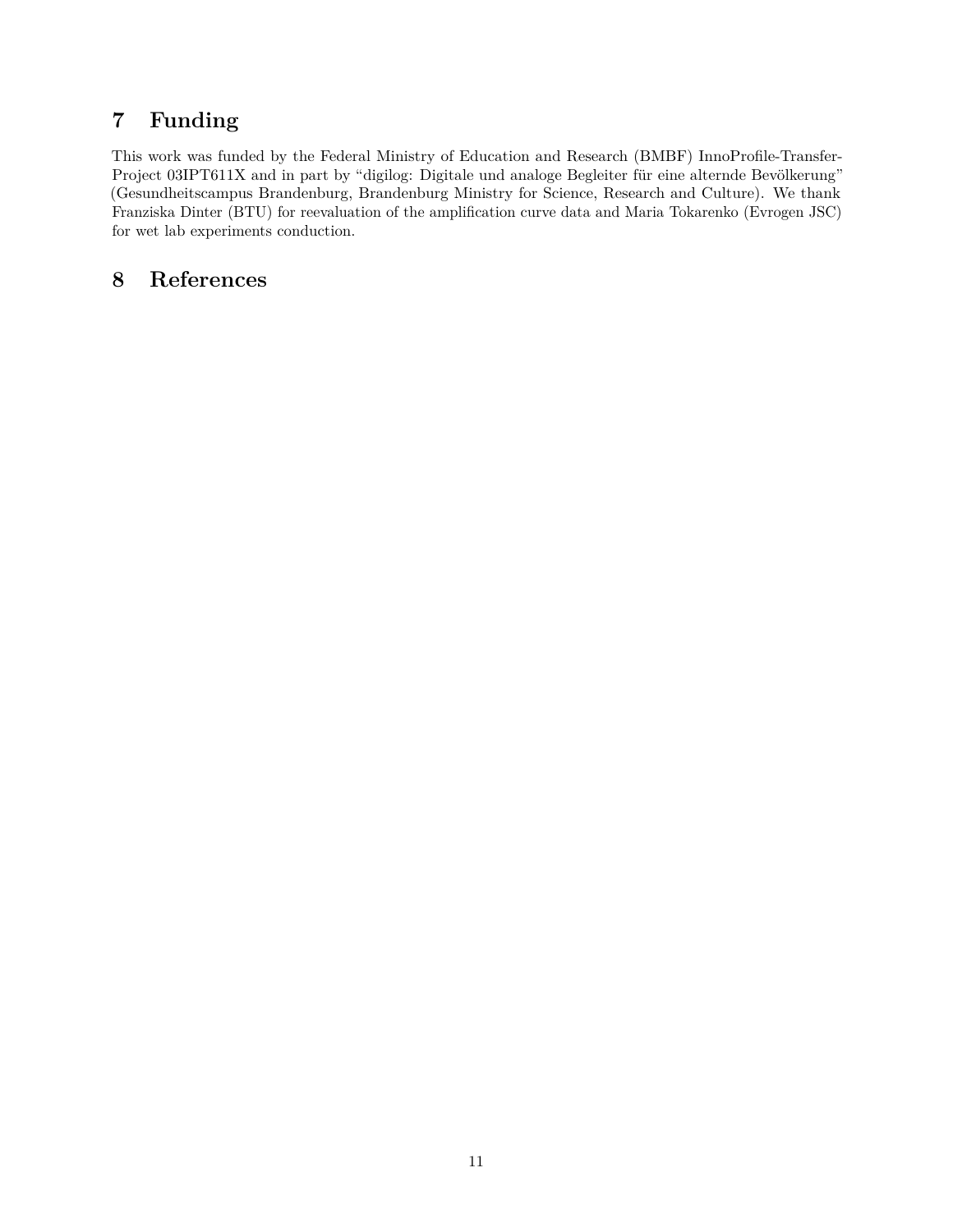# <span id="page-10-0"></span>**7 Funding**

This work was funded by the Federal Ministry of Education and Research (BMBF) InnoProfile-Transfer-Project 03IPT611X and in part by "digilog: Digitale und analoge Begleiter für eine alternde Bevölkerung" (Gesundheitscampus Brandenburg, Brandenburg Ministry for Science, Research and Culture). We thank Franziska Dinter (BTU) for reevaluation of the amplification curve data and Maria Tokarenko (Evrogen JSC) for wet lab experiments conduction.

## <span id="page-10-1"></span>**8 References**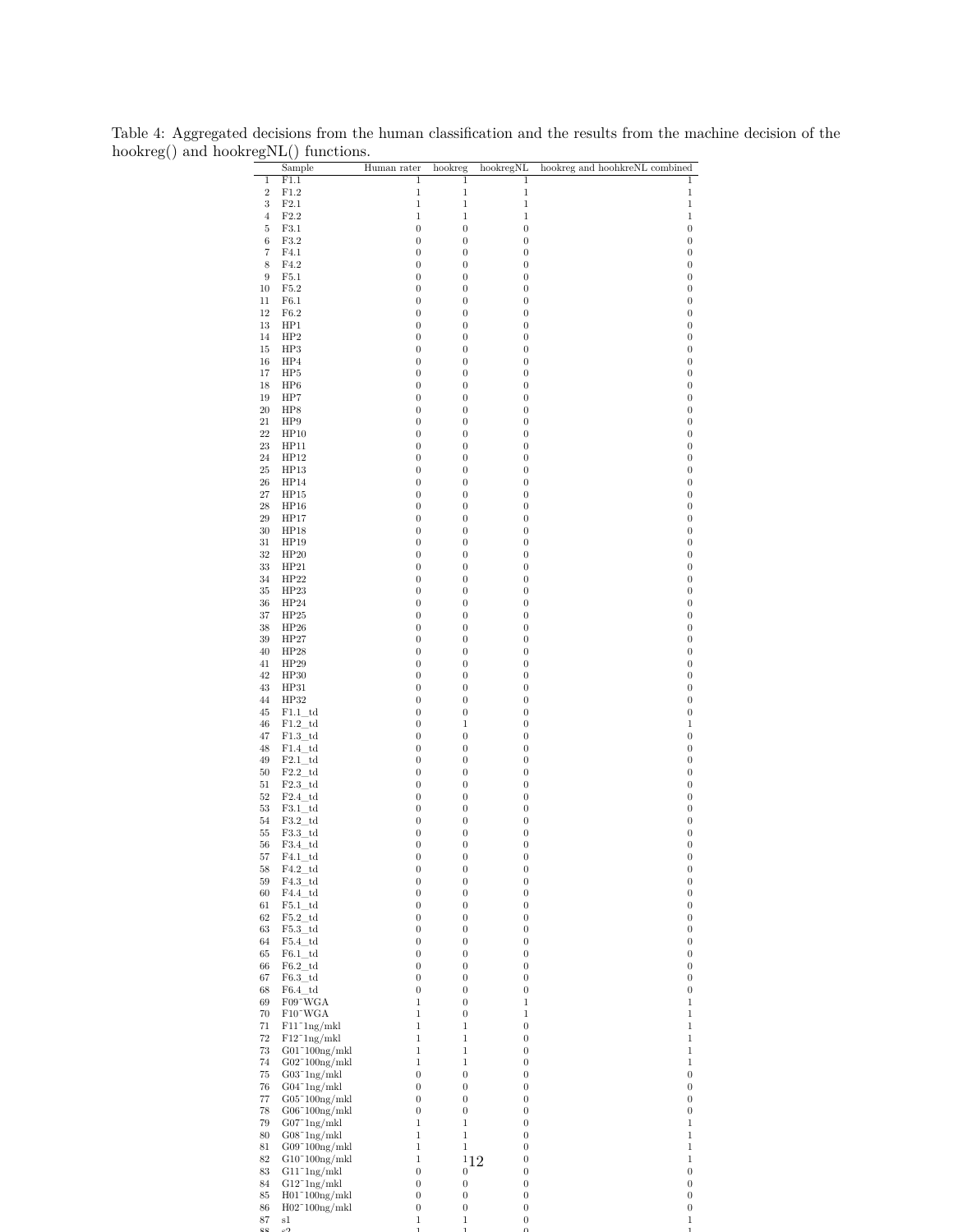|                      | egNL() functions.                                  |                                      |                                      |                                      |                                      |
|----------------------|----------------------------------------------------|--------------------------------------|--------------------------------------|--------------------------------------|--------------------------------------|
|                      | Sample                                             | Human rater                          | hookreg                              | hookregNL                            | hookreg and hoohkreNL combined       |
| $\mathbf 1$<br>$\,2$ | F1.1<br>F1.2                                       | 1<br>$\mathbf{1}$                    | $\overline{1}$<br>1                  | 1<br>$\mathbf{1}$                    | $\mathbf 1$<br>$\mathbf 1$           |
| 3                    | F2.1                                               | $\mathbf{1}$                         | $\mathbf 1$                          | 1                                    | $\mathbf 1$                          |
| $\overline{4}$       | F2.2                                               | $\mathbf 1$                          | $\,1$                                | 1                                    | $\,1$                                |
| 5                    | F3.1                                               | $\boldsymbol{0}$                     | $\boldsymbol{0}$                     | $\boldsymbol{0}$                     | $\boldsymbol{0}$                     |
| 6                    | F3.2                                               | $\boldsymbol{0}$                     | $\boldsymbol{0}$                     | $\boldsymbol{0}$                     | $\boldsymbol{0}$                     |
| 7                    | F4.1                                               | $\boldsymbol{0}$                     | $\boldsymbol{0}$                     | $\boldsymbol{0}$                     | $\boldsymbol{0}$                     |
| 8                    | F4.2                                               | $\boldsymbol{0}$                     | $\boldsymbol{0}$                     | $\boldsymbol{0}$                     | $\boldsymbol{0}$                     |
| 9<br>10              | F5.1<br>F5.2                                       | $\boldsymbol{0}$<br>$\boldsymbol{0}$ | $\boldsymbol{0}$<br>$\boldsymbol{0}$ | $\boldsymbol{0}$<br>$\boldsymbol{0}$ | $\boldsymbol{0}$<br>$\boldsymbol{0}$ |
| 11                   | F6.1                                               | $\boldsymbol{0}$                     | $\boldsymbol{0}$                     | $\boldsymbol{0}$                     | $\boldsymbol{0}$                     |
| 12                   | ${\rm F6.2}$                                       | $\boldsymbol{0}$                     | $\boldsymbol{0}$                     | $\boldsymbol{0}$                     | $\boldsymbol{0}$                     |
| 13                   | HP1                                                | $\boldsymbol{0}$                     | $\boldsymbol{0}$                     | $\boldsymbol{0}$                     | $\boldsymbol{0}$                     |
| 14                   | HP2                                                | $\boldsymbol{0}$                     | $\boldsymbol{0}$                     | $\boldsymbol{0}$                     | $\boldsymbol{0}$                     |
| 15                   | HP3                                                | $\boldsymbol{0}$                     | $\boldsymbol{0}$                     | $\boldsymbol{0}$                     | $\boldsymbol{0}$                     |
| 16                   | HP4                                                | $\boldsymbol{0}$                     | $\boldsymbol{0}$                     | $\boldsymbol{0}$                     | $\boldsymbol{0}$                     |
| 17                   | HP5                                                | $\boldsymbol{0}$                     | $\boldsymbol{0}$                     | $\boldsymbol{0}$                     | $\boldsymbol{0}$                     |
| 18                   | HP6                                                | $\boldsymbol{0}$                     | $\boldsymbol{0}$                     | $\boldsymbol{0}$                     | $\boldsymbol{0}$                     |
| 19<br>20             | HP7<br>HP8                                         | $\boldsymbol{0}$<br>$\boldsymbol{0}$ | $\boldsymbol{0}$<br>$\boldsymbol{0}$ | $\boldsymbol{0}$<br>$\boldsymbol{0}$ | $\boldsymbol{0}$<br>$\boldsymbol{0}$ |
| 21                   | HP9                                                | $\boldsymbol{0}$                     | $\boldsymbol{0}$                     | $\boldsymbol{0}$                     | $\boldsymbol{0}$                     |
| $22\,$               | HP10                                               | $\boldsymbol{0}$                     | $\boldsymbol{0}$                     | $\boldsymbol{0}$                     | $\boldsymbol{0}$                     |
| 23                   | HP11                                               | $\boldsymbol{0}$                     | $\boldsymbol{0}$                     | $\boldsymbol{0}$                     | $\boldsymbol{0}$                     |
| 24                   | HP12                                               | $\boldsymbol{0}$                     | $\boldsymbol{0}$                     | $\boldsymbol{0}$                     | $\boldsymbol{0}$                     |
| 25                   | HP13                                               | $\boldsymbol{0}$                     | $\boldsymbol{0}$                     | $\boldsymbol{0}$                     | $\boldsymbol{0}$                     |
| $26\,$               | HP14                                               | $\boldsymbol{0}$                     | $\boldsymbol{0}$                     | $\boldsymbol{0}$                     | $\boldsymbol{0}$                     |
| $27\,$               | HP15                                               | $\boldsymbol{0}$                     | $\boldsymbol{0}$                     | $\boldsymbol{0}$                     | $\boldsymbol{0}$                     |
| $\sqrt{28}$          | HP16                                               | $\boldsymbol{0}$<br>$\boldsymbol{0}$ | $\boldsymbol{0}$<br>$\boldsymbol{0}$ | $\boldsymbol{0}$<br>$\boldsymbol{0}$ | $\boldsymbol{0}$<br>$\boldsymbol{0}$ |
| 29<br>30             | HP17<br>HP18                                       | $\boldsymbol{0}$                     | $\boldsymbol{0}$                     | $\boldsymbol{0}$                     | $\boldsymbol{0}$                     |
| 31                   | HP19                                               | $\boldsymbol{0}$                     | $\boldsymbol{0}$                     | $\boldsymbol{0}$                     | $\boldsymbol{0}$                     |
| 32                   | HP20                                               | $\boldsymbol{0}$                     | $\boldsymbol{0}$                     | $\boldsymbol{0}$                     | $\boldsymbol{0}$                     |
| 33                   | HP21                                               | $\boldsymbol{0}$                     | $\boldsymbol{0}$                     | $\boldsymbol{0}$                     | $\boldsymbol{0}$                     |
| 34                   | HP22                                               | $\boldsymbol{0}$                     | $\boldsymbol{0}$                     | $\boldsymbol{0}$                     | $\boldsymbol{0}$                     |
| 35                   | HP23                                               | $\boldsymbol{0}$                     | $\boldsymbol{0}$                     | $\boldsymbol{0}$                     | $\boldsymbol{0}$                     |
| 36                   | HP24                                               | $\boldsymbol{0}$                     | $\boldsymbol{0}$                     | $\boldsymbol{0}$                     | $\boldsymbol{0}$                     |
| 37                   | HP25                                               | $\boldsymbol{0}$                     | $\boldsymbol{0}$                     | $\boldsymbol{0}$                     | $\boldsymbol{0}$<br>$\boldsymbol{0}$ |
| $38\,$<br>39         | HP26<br>HP27                                       | $\boldsymbol{0}$<br>$\boldsymbol{0}$ | $\boldsymbol{0}$<br>$\boldsymbol{0}$ | $\boldsymbol{0}$<br>$\boldsymbol{0}$ | $\boldsymbol{0}$                     |
| 40                   | HP28                                               | $\boldsymbol{0}$                     | $\boldsymbol{0}$                     | $\boldsymbol{0}$                     | $\boldsymbol{0}$                     |
| 41                   | HP29                                               | $\boldsymbol{0}$                     | $\boldsymbol{0}$                     | $\boldsymbol{0}$                     | $\boldsymbol{0}$                     |
| 42                   | HP30                                               | $\boldsymbol{0}$                     | $\boldsymbol{0}$                     | $\boldsymbol{0}$                     | $\boldsymbol{0}$                     |
| 43                   | HP31                                               | $\boldsymbol{0}$                     | $\boldsymbol{0}$                     | $\boldsymbol{0}$                     | $\boldsymbol{0}$                     |
| 44                   | HP32                                               | $\boldsymbol{0}$                     | $\boldsymbol{0}$                     | $\boldsymbol{0}$                     | $\boldsymbol{0}$                     |
| 45                   | $F1.1$ td                                          | $\boldsymbol{0}$                     | $\boldsymbol{0}$                     | $\boldsymbol{0}$                     | $\boldsymbol{0}$                     |
| 46                   | $F1.2$ td                                          | $\boldsymbol{0}$                     | $\,1$                                | $\boldsymbol{0}$                     | $\mathbf 1$                          |
| 47<br>48             | $F1.3\_td$<br>$F1.4$ td                            | $\boldsymbol{0}$<br>$\boldsymbol{0}$ | $\boldsymbol{0}$<br>$\boldsymbol{0}$ | $\boldsymbol{0}$<br>$\boldsymbol{0}$ | $\boldsymbol{0}$<br>$\boldsymbol{0}$ |
| 49                   | $F2.1\_td$                                         | $\boldsymbol{0}$                     | $\boldsymbol{0}$                     | $\boldsymbol{0}$                     | $\boldsymbol{0}$                     |
| 50                   | F2.2td                                             | $\boldsymbol{0}$                     | $\boldsymbol{0}$                     | $\boldsymbol{0}$                     | $\boldsymbol{0}$                     |
| 51                   | $F2.3$ td                                          | $\boldsymbol{0}$                     | $\boldsymbol{0}$                     | $\boldsymbol{0}$                     | $\boldsymbol{0}$                     |
| 52                   | $F2.4\_td$                                         | $\boldsymbol{0}$                     | $\boldsymbol{0}$                     | $\boldsymbol{0}$                     | $\boldsymbol{0}$                     |
| 53                   | $F3.1\_td$                                         | $\boldsymbol{0}$                     | $\boldsymbol{0}$                     | $\boldsymbol{0}$                     | $\boldsymbol{0}$                     |
| 54                   | $F3.2\_td$                                         | $\boldsymbol{0}$                     | $\boldsymbol{0}$                     | $\boldsymbol{0}$                     | $\boldsymbol{0}$                     |
| 55<br>56             | $F3.3$ td<br>$F3.4$ td                             | $\boldsymbol{0}$<br>$\boldsymbol{0}$ | $\boldsymbol{0}$<br>$\mathbf{0}$     | $\boldsymbol{0}$<br>0                | $\boldsymbol{0}$<br>$\boldsymbol{0}$ |
| 57                   | $F4.1\_td$                                         | $\boldsymbol{0}$                     | $\boldsymbol{0}$                     | $\boldsymbol{0}$                     | $\boldsymbol{0}$                     |
| 58                   | $F4.2\_td$                                         | $\boldsymbol{0}$                     | $\boldsymbol{0}$                     | $\boldsymbol{0}$                     | $\boldsymbol{0}$                     |
| 59                   | $F4.3\_td$                                         | $\boldsymbol{0}$                     | $\boldsymbol{0}$                     | $\boldsymbol{0}$                     | $\boldsymbol{0}$                     |
| 60                   | $F4.4\_td$                                         | $\boldsymbol{0}$                     | $\boldsymbol{0}$                     | $\boldsymbol{0}$                     | $\boldsymbol{0}$                     |
| 61                   | $F5.1$ td                                          | $\boldsymbol{0}$                     | $\boldsymbol{0}$                     | $\boldsymbol{0}$                     | $\boldsymbol{0}$                     |
| 62                   | $F5.2\_td$                                         | $\boldsymbol{0}$                     | $\boldsymbol{0}$                     | $\boldsymbol{0}$                     | $\boldsymbol{0}$                     |
| 63<br>64             | $F5.3$ td<br>$F5.4\_td$                            | $\boldsymbol{0}$<br>$\boldsymbol{0}$ | $\boldsymbol{0}$<br>$\boldsymbol{0}$ | $\boldsymbol{0}$<br>$\boldsymbol{0}$ | $\boldsymbol{0}$<br>$\boldsymbol{0}$ |
| 65                   | $F6.1$ td                                          | $\boldsymbol{0}$                     | $\boldsymbol{0}$                     | $\boldsymbol{0}$                     | $\boldsymbol{0}$                     |
| 66                   | $F6.2$ td                                          | $\boldsymbol{0}$                     | $\boldsymbol{0}$                     | $\boldsymbol{0}$                     | $\boldsymbol{0}$                     |
| 67                   | $F6.3\_td$                                         | $\boldsymbol{0}$                     | $\boldsymbol{0}$                     | $\boldsymbol{0}$                     | $\boldsymbol{0}$                     |
| 68                   | $F6.4$ td                                          | $\boldsymbol{0}$                     | $\boldsymbol{0}$                     | $\boldsymbol{0}$                     | $\boldsymbol{0}$                     |
| 69                   | F09~WGA                                            | $\mathbf{1}$                         | $\boldsymbol{0}$                     | 1                                    | $\mathbf 1$                          |
| 70                   | F10~WGA                                            | $\,1$                                | $\boldsymbol{0}$                     | $\,1$                                | $\,1$                                |
| 71                   | $F11^1ng/mkl$                                      | $\mathbf 1$                          | $\mathbf 1$                          | $\boldsymbol{0}$                     | $\mathbf 1$                          |
| $72\,$<br>$73\,$     | $F12^{\degree}$ lng/mkl<br>$G01^{\circ}100$ ng/mkl | $\mathbf{1}$<br>$\,1$                | $\mathbf 1$<br>$\,1$                 | $\boldsymbol{0}$<br>$\boldsymbol{0}$ | $\,1$<br>$\,1$                       |
| $74\,$               | $G02^{\circ}100$ ng/mkl                            | $\mathbf{1}$                         | $\mathbf 1$                          | $\boldsymbol{0}$                     | $\,1$                                |
| $75\,$               | $G03$ <sup>~1</sup> ng/mkl                         | $\boldsymbol{0}$                     | $\boldsymbol{0}$                     | $\boldsymbol{0}$                     | $\boldsymbol{0}$                     |
| $76\,$               | $G04^{\degree}1$ ng/mkl                            | $\boldsymbol{0}$                     | $\boldsymbol{0}$                     | $\boldsymbol{0}$                     | $\boldsymbol{0}$                     |
| 77                   | $G05^{\circ}100$ ng/mkl                            | $\boldsymbol{0}$                     | $\boldsymbol{0}$                     | $\boldsymbol{0}$                     | $\boldsymbol{0}$                     |
| 78                   | $G06^{\circ}100$ ng/mkl                            | $\boldsymbol{0}$                     | $\boldsymbol{0}$                     | $\boldsymbol{0}$                     | $\boldsymbol{0}$                     |
| $79\,$               | $G07^{\circ}1$ ng/mkl                              | $\mathbf{1}$                         | $\,1$                                | $\boldsymbol{0}$                     | $\,1$                                |
| 80                   | $G08^{\circ}1$ ng/mkl                              | $\,1$                                | 1                                    | $\boldsymbol{0}$                     | $\mathbf 1$                          |
| 81<br>82             | $G09^{\circ}100$ ng/mkl<br>$G10^{\circ}100$ ng/mkl | $\mathbf 1$<br>$\mathbf 1$           | $\mathbf 1$                          | $\boldsymbol{0}$<br>$\boldsymbol{0}$ | $\mathbf 1$<br>$\,1$                 |
| 83                   | $G11^{\circ}1ng/mkl$                               | $\boldsymbol{0}$                     | 112<br>$\boldsymbol{0}$              | $\boldsymbol{0}$                     | $\boldsymbol{0}$                     |
| 84                   | $G12^{\sim}1$ ng/mkl                               | $\overline{0}$                       | $\boldsymbol{0}$                     | $\boldsymbol{0}$                     | $\boldsymbol{0}$                     |
| 85                   | $H01^{\circ}100$ ng/mkl                            | $\boldsymbol{0}$                     | $\boldsymbol{0}$                     | $\boldsymbol{0}$                     | $\boldsymbol{0}$                     |
| $86\,$               | $H02^{\circ}100$ ng/mkl                            | $\boldsymbol{0}$                     | $\boldsymbol{0}$                     | $\boldsymbol{0}$                     | $\boldsymbol{0}$                     |
| 87                   | $^{s1}$                                            | 1                                    | $\mathbf 1$                          | $\boldsymbol{0}$                     | $\,1$                                |
|                      |                                                    |                                      |                                      | $\Omega$                             | 1                                    |

<span id="page-11-0"></span>Table 4: Aggregated decisions from the human classification and the results from the machine decision of the hookreg() and hookregNL() functions.